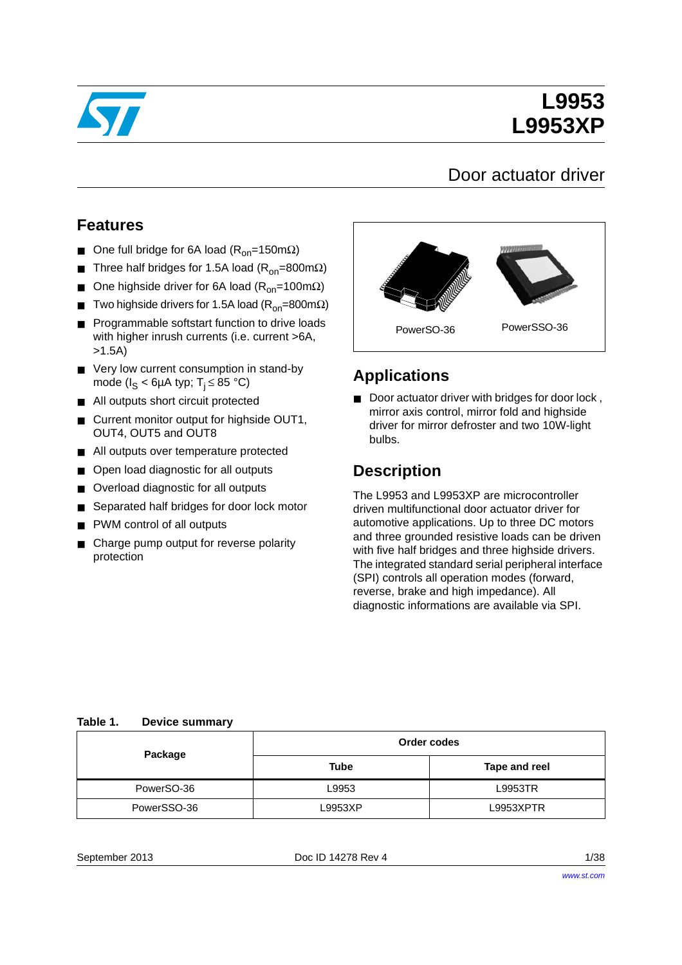

# **L9953 L9953XP**

## Door actuator driver

### **Features**

- One full bridge for 6A load ( $R_{on}$ =150mΩ)
- Three half bridges for 1.5A load (R<sub>on</sub>=800mΩ)
- One highside driver for 6A load ( $R_{on}$ =100mΩ)
- Two highside drivers for 1.5A load ( $R_{on}$ =800m $\Omega$ )
- Programmable softstart function to drive loads with higher inrush currents (i.e. current >6A, >1.5A)
- Very low current consumption in stand-by mode ( $I_S < 6\mu A$  typ;  $T_i \leq 85$  °C)
- All outputs short circuit protected
- Current monitor output for highside OUT1, OUT4, OUT5 and OUT8
- All outputs over temperature protected
- Open load diagnostic for all outputs
- Overload diagnostic for all outputs
- Separated half bridges for door lock motor
- PWM control of all outputs
- Charge pump output for reverse polarity protection



#### **Applications**

Door actuator driver with bridges for door lock, mirror axis control, mirror fold and highside driver for mirror defroster and two 10W-light bulbs.

## **Description**

The L9953 and L9953XP are microcontroller driven multifunctional door actuator driver for automotive applications. Up to three DC motors and three grounded resistive loads can be driven with five half bridges and three highside drivers. The integrated standard serial peripheral interface (SPI) controls all operation modes (forward, reverse, brake and high impedance). All diagnostic informations are available via SPI.

#### <span id="page-0-0"></span>**Table 1. Device summary**

| Package     | Order codes |               |  |
|-------------|-------------|---------------|--|
|             | Tube        | Tape and reel |  |
| PowerSO-36  | L9953       | L9953TR       |  |
| PowerSSO-36 | _9953XP     | L9953XPTR     |  |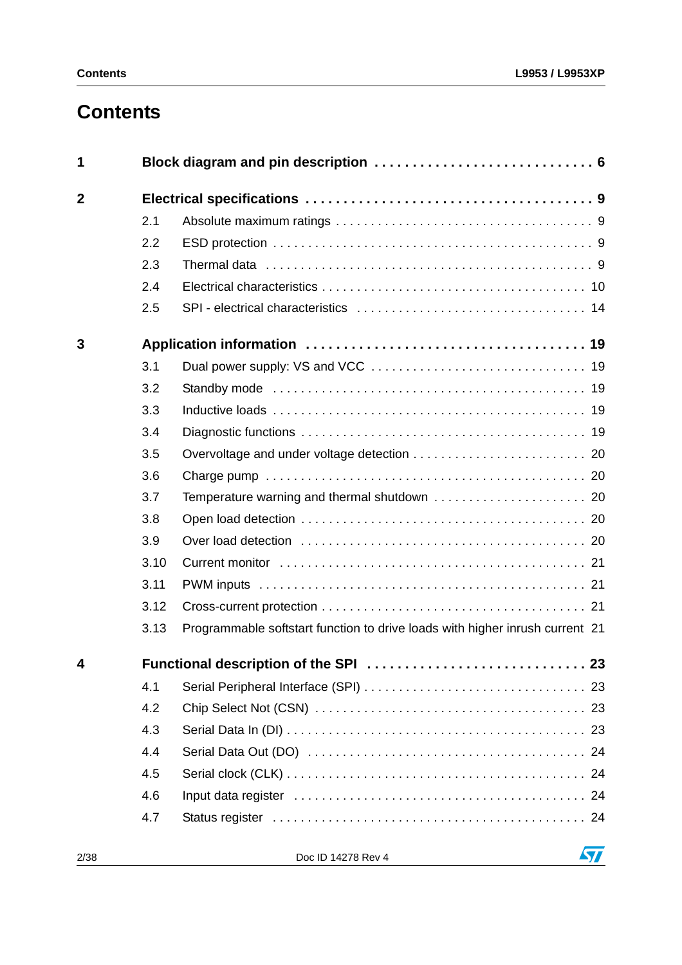# **Contents**

| 1                      |      |                                                                              |  |
|------------------------|------|------------------------------------------------------------------------------|--|
| $\mathbf{2}$           |      |                                                                              |  |
|                        | 2.1  |                                                                              |  |
|                        | 2.2  |                                                                              |  |
|                        | 2.3  |                                                                              |  |
|                        | 2.4  |                                                                              |  |
|                        | 2.5  |                                                                              |  |
| 3                      |      |                                                                              |  |
|                        | 3.1  |                                                                              |  |
|                        | 3.2  |                                                                              |  |
|                        | 3.3  |                                                                              |  |
|                        | 3.4  |                                                                              |  |
|                        | 3.5  |                                                                              |  |
|                        | 3.6  |                                                                              |  |
|                        | 3.7  |                                                                              |  |
|                        | 3.8  |                                                                              |  |
|                        | 3.9  |                                                                              |  |
|                        | 3.10 |                                                                              |  |
|                        | 3.11 |                                                                              |  |
|                        | 3.12 |                                                                              |  |
|                        | 3.13 | Programmable softstart function to drive loads with higher inrush current 21 |  |
| $\boldsymbol{\Lambda}$ |      |                                                                              |  |
|                        | 4.1  |                                                                              |  |
|                        | 4.2  |                                                                              |  |
|                        | 4.3  |                                                                              |  |
|                        | 4.4  |                                                                              |  |
|                        | 4.5  |                                                                              |  |
|                        | 4.6  |                                                                              |  |
|                        | 4.7  |                                                                              |  |

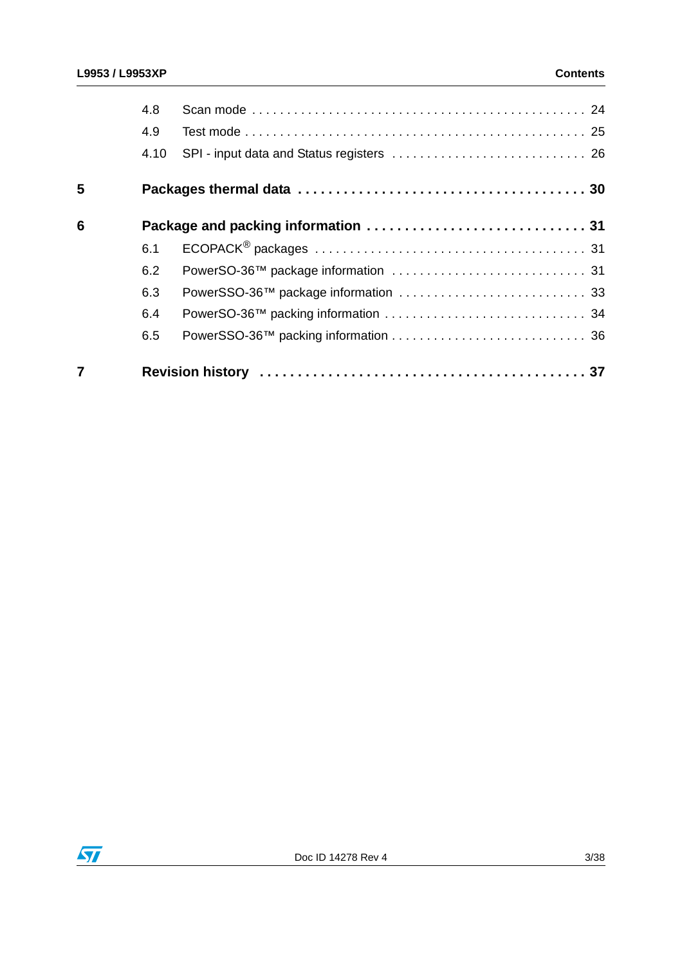|   | 4.8  |  |
|---|------|--|
|   | 4.9  |  |
|   | 4.10 |  |
| 5 |      |  |
| 6 |      |  |
|   | 6.1  |  |
|   | 6.2  |  |
|   | 6.3  |  |
|   | 6.4  |  |
|   | 6.5  |  |
|   |      |  |

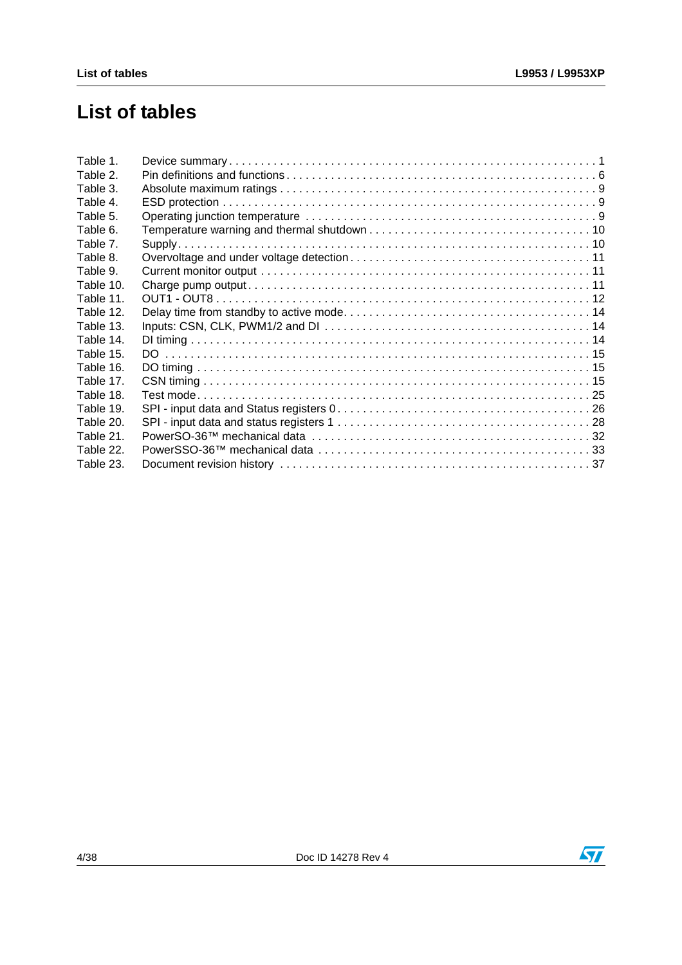# **List of tables**

| Table 1.  |  |
|-----------|--|
| Table 2.  |  |
| Table 3.  |  |
| Table 4.  |  |
| Table 5.  |  |
| Table 6.  |  |
| Table 7.  |  |
| Table 8.  |  |
| Table 9.  |  |
| Table 10. |  |
| Table 11. |  |
| Table 12. |  |
| Table 13. |  |
| Table 14. |  |
| Table 15. |  |
| Table 16. |  |
| Table 17. |  |
| Table 18. |  |
| Table 19. |  |
| Table 20. |  |
| Table 21. |  |
| Table 22. |  |
| Table 23. |  |
|           |  |

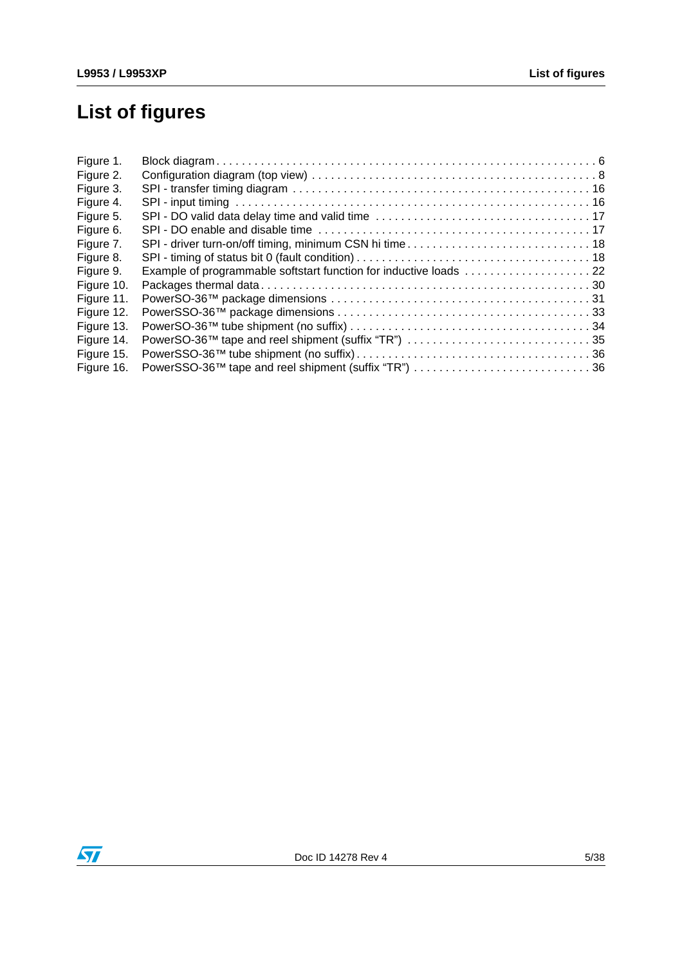# **List of figures**

| Figure 1.  |                                                     |  |
|------------|-----------------------------------------------------|--|
| Figure 2.  |                                                     |  |
| Figure 3.  |                                                     |  |
| Figure 4.  |                                                     |  |
| Figure 5.  |                                                     |  |
| Figure 6.  |                                                     |  |
| Figure 7.  |                                                     |  |
| Figure 8.  |                                                     |  |
| Figure 9.  |                                                     |  |
| Figure 10. |                                                     |  |
| Figure 11. |                                                     |  |
| Figure 12. |                                                     |  |
| Figure 13. |                                                     |  |
| Figure 14. | PowerSO-36™ tape and reel shipment (suffix "TR") 35 |  |
| Figure 15. |                                                     |  |
| Figure 16. |                                                     |  |
|            |                                                     |  |

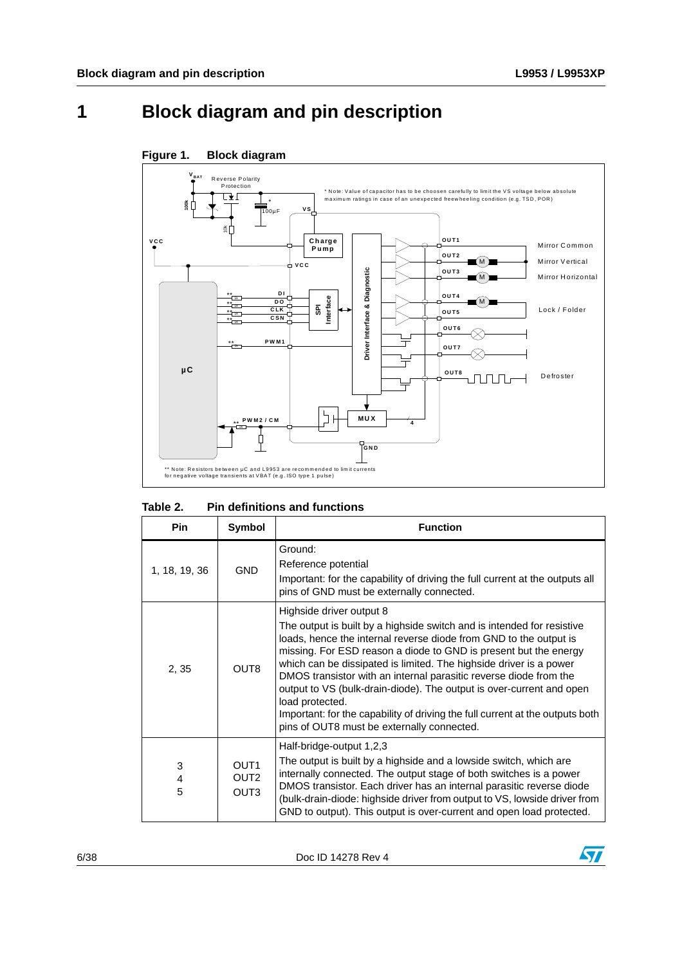# <span id="page-5-0"></span>**1 Block diagram and pin description**



#### <span id="page-5-2"></span>**Figure 1. Block diagram**

#### <span id="page-5-1"></span>Table 2. **Pin definitions and functions**

| <b>Pin</b>    | Symbol                                                   | <b>Function</b>                                                                                                                                                                                                                                                                                                                                                                                                                                                                                                                                                                                                  |
|---------------|----------------------------------------------------------|------------------------------------------------------------------------------------------------------------------------------------------------------------------------------------------------------------------------------------------------------------------------------------------------------------------------------------------------------------------------------------------------------------------------------------------------------------------------------------------------------------------------------------------------------------------------------------------------------------------|
| 1, 18, 19, 36 | <b>GND</b>                                               | Ground:<br>Reference potential<br>Important: for the capability of driving the full current at the outputs all<br>pins of GND must be externally connected.                                                                                                                                                                                                                                                                                                                                                                                                                                                      |
| 2, 35         | OUT <sub>8</sub>                                         | Highside driver output 8<br>The output is built by a highside switch and is intended for resistive<br>loads, hence the internal reverse diode from GND to the output is<br>missing. For ESD reason a diode to GND is present but the energy<br>which can be dissipated is limited. The highside driver is a power<br>DMOS transistor with an internal parasitic reverse diode from the<br>output to VS (bulk-drain-diode). The output is over-current and open<br>load protected.<br>Important: for the capability of driving the full current at the outputs both<br>pins of OUT8 must be externally connected. |
| 3<br>4<br>5   | OUT <sub>1</sub><br>OUT <sub>2</sub><br>OUT <sub>3</sub> | Half-bridge-output 1,2,3<br>The output is built by a highside and a lowside switch, which are<br>internally connected. The output stage of both switches is a power<br>DMOS transistor. Each driver has an internal parasitic reverse diode<br>(bulk-drain-diode: highside driver from output to VS, lowside driver from<br>GND to output). This output is over-current and open load protected.                                                                                                                                                                                                                 |

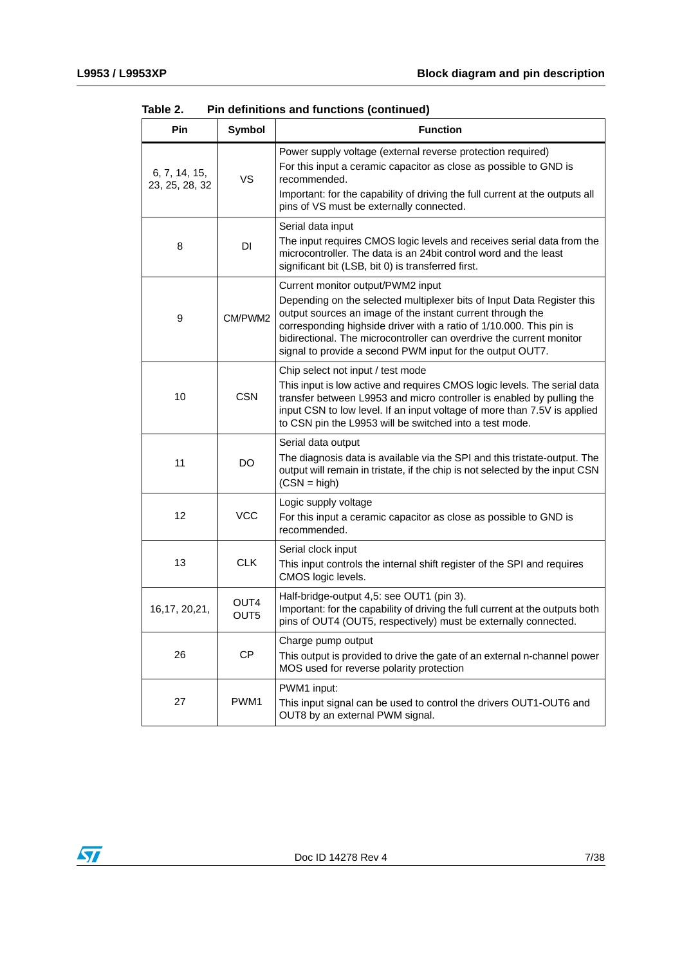| Pin                             | <b>Symbol</b>            | <b>Function</b>                                                                                                                                                                                                                                                                                                                                                                       |
|---------------------------------|--------------------------|---------------------------------------------------------------------------------------------------------------------------------------------------------------------------------------------------------------------------------------------------------------------------------------------------------------------------------------------------------------------------------------|
| 6, 7, 14, 15,<br>23, 25, 28, 32 | VS                       | Power supply voltage (external reverse protection required)<br>For this input a ceramic capacitor as close as possible to GND is<br>recommended.<br>Important: for the capability of driving the full current at the outputs all<br>pins of VS must be externally connected.                                                                                                          |
| 8                               | DI                       | Serial data input<br>The input requires CMOS logic levels and receives serial data from the<br>microcontroller. The data is an 24bit control word and the least<br>significant bit (LSB, bit 0) is transferred first.                                                                                                                                                                 |
| 9                               | CM/PWM2                  | Current monitor output/PWM2 input<br>Depending on the selected multiplexer bits of Input Data Register this<br>output sources an image of the instant current through the<br>corresponding highside driver with a ratio of 1/10.000. This pin is<br>bidirectional. The microcontroller can overdrive the current monitor<br>signal to provide a second PWM input for the output OUT7. |
| 10                              | <b>CSN</b>               | Chip select not input / test mode<br>This input is low active and requires CMOS logic levels. The serial data<br>transfer between L9953 and micro controller is enabled by pulling the<br>input CSN to low level. If an input voltage of more than 7.5V is applied<br>to CSN pin the L9953 will be switched into a test mode.                                                         |
| 11                              | DO                       | Serial data output<br>The diagnosis data is available via the SPI and this tristate-output. The<br>output will remain in tristate, if the chip is not selected by the input CSN<br>$(CSN = high)$                                                                                                                                                                                     |
| 12                              | <b>VCC</b>               | Logic supply voltage<br>For this input a ceramic capacitor as close as possible to GND is<br>recommended.                                                                                                                                                                                                                                                                             |
| 13                              | <b>CLK</b>               | Serial clock input<br>This input controls the internal shift register of the SPI and requires<br>CMOS logic levels.                                                                                                                                                                                                                                                                   |
| 16,17, 20,21,                   | OUT4<br>OUT <sub>5</sub> | Half-bridge-output 4,5: see OUT1 (pin 3).<br>Important: for the capability of driving the full current at the outputs both<br>pins of OUT4 (OUT5, respectively) must be externally connected.                                                                                                                                                                                         |
| 26                              | CP                       | Charge pump output<br>This output is provided to drive the gate of an external n-channel power<br>MOS used for reverse polarity protection                                                                                                                                                                                                                                            |
| 27                              | PWM1                     | PWM1 input:<br>This input signal can be used to control the drivers OUT1-OUT6 and<br>OUT8 by an external PWM signal.                                                                                                                                                                                                                                                                  |

**Table 2. Pin definitions and functions (continued)**

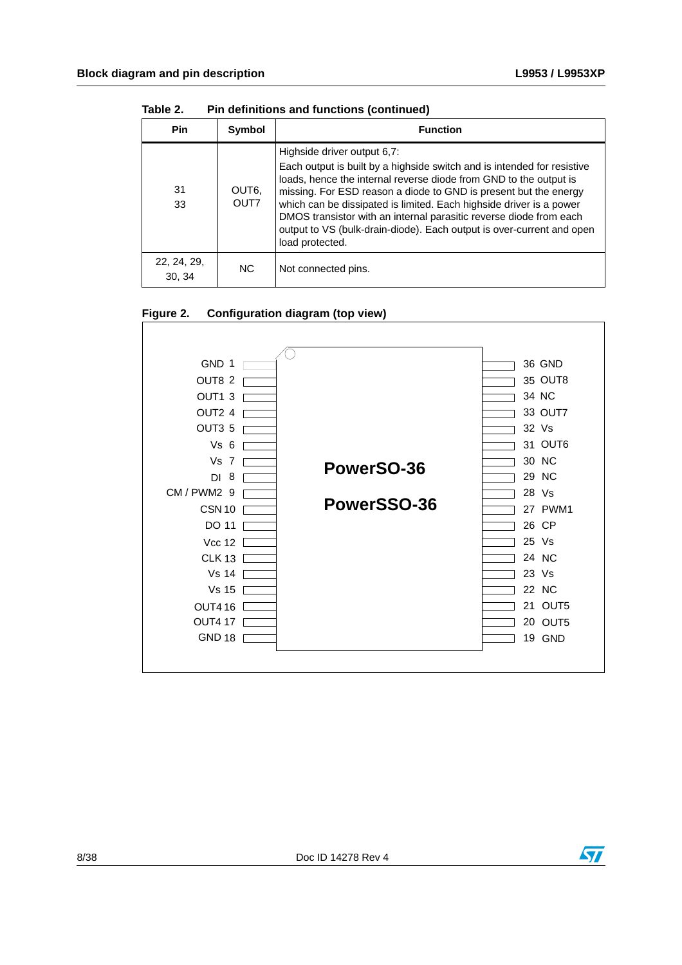| <b>Pin</b>            | Symbol        | <b>Function</b>                                                                                                                                                                                                                                                                                                                                                                                                                                                                          |
|-----------------------|---------------|------------------------------------------------------------------------------------------------------------------------------------------------------------------------------------------------------------------------------------------------------------------------------------------------------------------------------------------------------------------------------------------------------------------------------------------------------------------------------------------|
| 31<br>33              | OUT6,<br>OUT7 | Highside driver output 6,7:<br>Each output is built by a highside switch and is intended for resistive<br>loads, hence the internal reverse diode from GND to the output is<br>missing. For ESD reason a diode to GND is present but the energy<br>which can be dissipated is limited. Each highside driver is a power<br>DMOS transistor with an internal parasitic reverse diode from each<br>output to VS (bulk-drain-diode). Each output is over-current and open<br>load protected. |
| 22, 24, 29,<br>30, 34 | NC.           | Not connected pins.                                                                                                                                                                                                                                                                                                                                                                                                                                                                      |

**Table 2. Pin definitions and functions (continued)**

#### <span id="page-7-0"></span>**Figure 2. Configuration diagram (top view)**



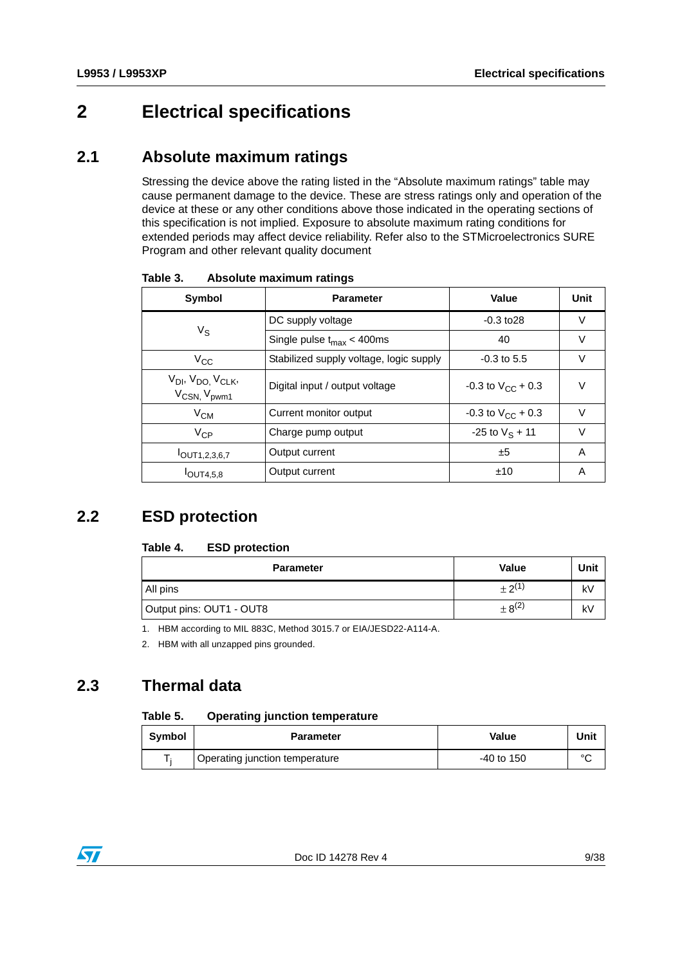# <span id="page-8-0"></span>**2 Electrical specifications**

#### <span id="page-8-1"></span>**2.1 Absolute maximum ratings**

Stressing the device above the rating listed in the "Absolute maximum ratings" table may cause permanent damage to the device. These are stress ratings only and operation of the device at these or any other conditions above those indicated in the operating sections of this specification is not implied. Exposure to absolute maximum rating conditions for extended periods may affect device reliability. Refer also to the STMicroelectronics SURE Program and other relevant quality document

| Symbol                                                                           | Value<br><b>Parameter</b>               |                              | Unit   |
|----------------------------------------------------------------------------------|-----------------------------------------|------------------------------|--------|
| $V_{\rm S}$                                                                      | DC supply voltage                       | $-0.3$ to $28$               | V      |
|                                                                                  | Single pulse $t_{max}$ < 400ms          | 40                           | V      |
| $V_{\rm CC}$                                                                     | Stabilized supply voltage, logic supply | $-0.3$ to 5.5                | V      |
| V <sub>DI</sub> , V <sub>DO,</sub> V <sub>CLK</sub> ,<br>V <sub>CSN, Vpwm1</sub> | Digital input / output voltage          | $-0.3$ to $V_{\rm CC}$ + 0.3 | V      |
| $V_{CM}$                                                                         | Current monitor output                  | $-0.3$ to $V_{CC}$ + 0.3     | $\vee$ |
| $V_{CP}$                                                                         | Charge pump output                      | $-25$ to $V_S + 11$          | $\vee$ |
| $I$ OUT1,2,3,6,7                                                                 | Output current                          | ±5                           | A      |
| $I$ OUT4,5,8                                                                     | Output current                          | ±10                          | Α      |

<span id="page-8-4"></span>Table 3. **Absolute maximum ratings** 

## <span id="page-8-2"></span>**2.2 ESD protection**

#### <span id="page-8-5"></span>Table 4. **ESD protection**

| <b>Parameter</b>         | <b>Value</b>  | Unit |
|--------------------------|---------------|------|
| All pins                 | $+2^{(1)}$    | k٧   |
| Output pins: OUT1 - OUT8 | $\pm 8^{(2)}$ | k٧   |

1. HBM according to MIL 883C, Method 3015.7 or EIA/JESD22-A114-A.

2. HBM with all unzapped pins grounded.

## <span id="page-8-3"></span>**2.3 Thermal data**

#### <span id="page-8-6"></span>Table 5. **Operating junction temperature**

| <b>Symbol</b> | <b>Parameter</b>               | Value      | Unit   |
|---------------|--------------------------------|------------|--------|
|               | Operating junction temperature | -40 to 150 | $\sim$ |

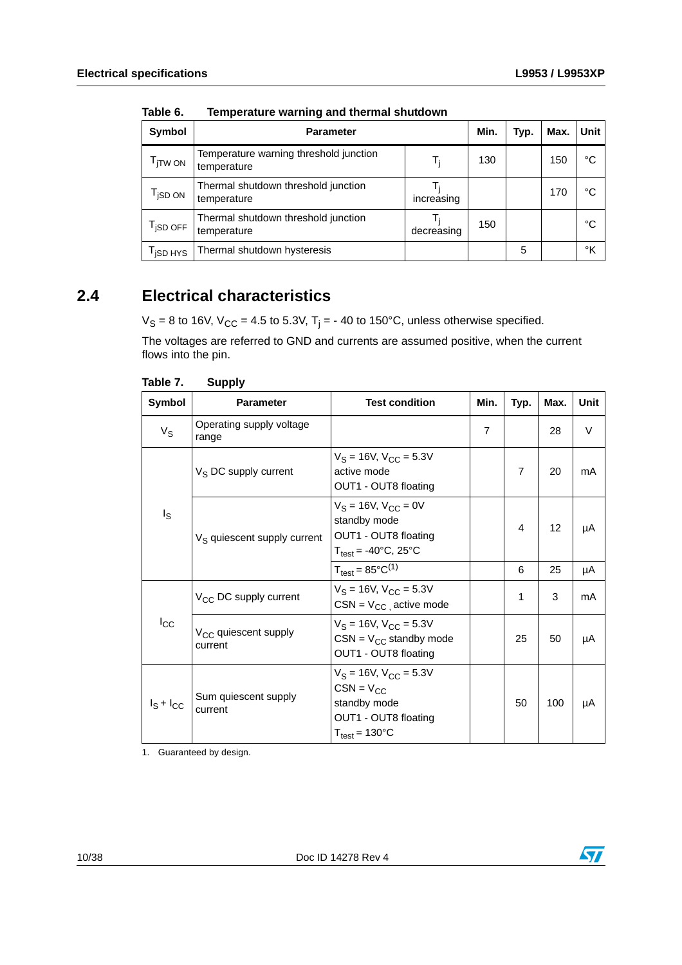| Symbol                             | <b>Parameter</b>                                      |            | Min. | Typ. | Max. | <b>Unit</b> |
|------------------------------------|-------------------------------------------------------|------------|------|------|------|-------------|
| T <sub>ITW ON</sub>                | Temperature warning threshold junction<br>temperature | T,         | 130  |      | 150  | °C          |
| $\mathsf{T}_{\mathsf{iSD~ON}}$     | Thermal shutdown threshold junction<br>temperature    | increasing |      |      | 170  | °C          |
| $\mathsf{T}_{\mathsf{iSD \, OFF}}$ | Thermal shutdown threshold junction<br>temperature    | decreasing | 150  |      |      | °C          |
| T <sub>iSD HYS</sub>               | Thermal shutdown hysteresis                           |            |      | 5    |      | °K          |

<span id="page-9-1"></span>Table 6. **Temperature warning and thermal shutdown** 

## <span id="page-9-0"></span>**2.4 Electrical characteristics**

V<sub>S</sub> = 8 to 16V, V<sub>CC</sub> = 4.5 to 5.3V, T<sub>j</sub> = - 40 to 150°C, unless otherwise specified.

The voltages are referred to GND and currents are assumed positive, when the current flows into the pin.

| .              | 99PP.,                                      |                                                                                                                             |                |                |      |      |
|----------------|---------------------------------------------|-----------------------------------------------------------------------------------------------------------------------------|----------------|----------------|------|------|
| Symbol         | <b>Parameter</b>                            | <b>Test condition</b>                                                                                                       | Min.           | Typ.           | Max. | Unit |
| $V_S$          | Operating supply voltage<br>range           |                                                                                                                             | $\overline{7}$ |                | 28   | V    |
| $I_{\rm S}$    | V <sub>S</sub> DC supply current            | $V_S = 16V$ , $V_{CC} = 5.3V$<br>active mode<br>OUT1 - OUT8 floating                                                        |                | $\overline{7}$ | 20   | mA   |
|                | V <sub>S</sub> quiescent supply current     | $V_S = 16V$ , $V_{CC} = 0V$<br>standby mode<br>OUT1 - OUT8 floating<br>$T_{test} = -40^{\circ}C$ , 25°C                     |                | $\overline{4}$ | 12   | μA   |
|                |                                             | $T_{\text{test}} = 85^{\circ}C^{(1)}$                                                                                       |                | 6              | 25   | μA   |
|                | V <sub>CC</sub> DC supply current           | $V_S = 16V$ , $V_{CC} = 5.3V$<br>$CSN = V_{CC}$ active mode                                                                 |                | 1              | 3    | mA   |
| $I_{\rm CC}$   | V <sub>CC</sub> quiescent supply<br>current | $V_S = 16V$ , $V_{CC} = 5.3V$<br>$CSN = V_{CC}$ standby mode<br>OUT1 - OUT8 floating                                        |                | 25             | 50   | μA   |
| $I_S + I_{CC}$ | Sum quiescent supply<br>current             | $V_S = 16V$ , $V_{CC} = 5.3V$<br>$CSN = V_{CC}$<br>standby mode<br>OUT1 - OUT8 floating<br>$T_{\text{test}} = 130^{\circ}C$ |                | 50             | 100  | μA   |

<span id="page-9-2"></span>**Table 7. Supply**

1. Guaranteed by design.

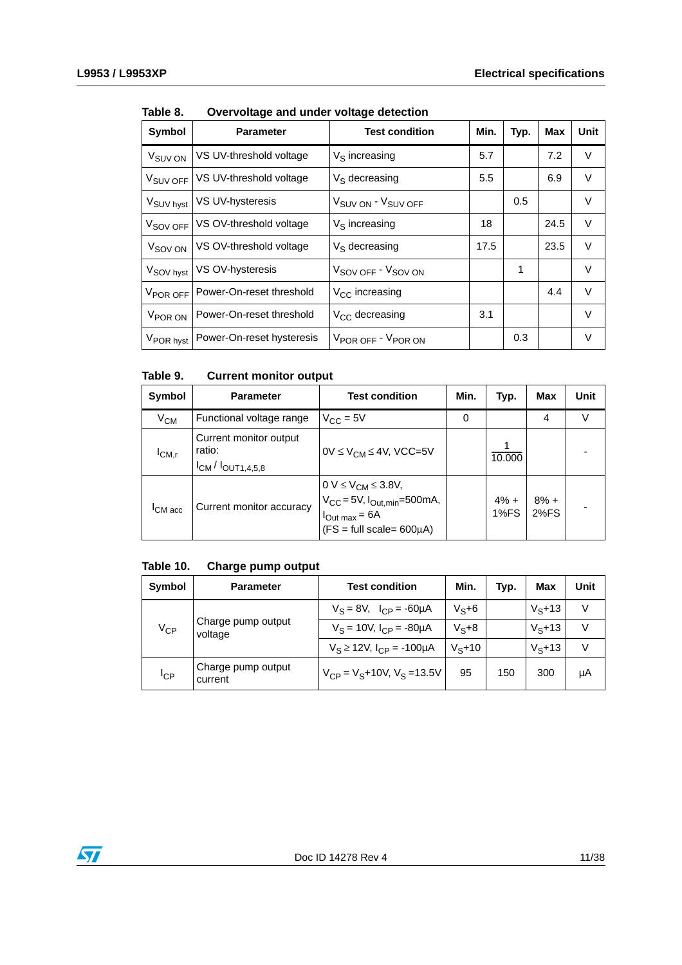| Symbol                | <b>Parameter</b>          | <b>Test condition</b>                      | Min. | Typ. | Max  | <b>Unit</b> |
|-----------------------|---------------------------|--------------------------------------------|------|------|------|-------------|
| V <sub>SUV</sub> ON   | VS UV-threshold voltage   | $V_S$ increasing                           | 5.7  |      | 7.2  | V           |
| V <sub>SUV OFF</sub>  | VS UV-threshold voltage   | $V_S$ decreasing                           | 5.5  |      | 6.9  | V           |
| V <sub>SUV hyst</sub> | VS UV-hysteresis          | V <sub>SUV</sub> ON - V <sub>SUV</sub> OFF |      | 0.5  |      | V           |
| V <sub>SOV</sub> OFF  | VS OV-threshold voltage   | $V_S$ increasing                           | 18   |      | 24.5 | V           |
| V <sub>SOV</sub> ON   | VS OV-threshold voltage   | $V_S$ decreasing                           | 17.5 |      | 23.5 | V           |
| V <sub>SOV hyst</sub> | VS OV-hysteresis          | V <sub>SOV OFF</sub> - V <sub>SOV ON</sub> |      | 1    |      | V           |
| V <sub>POR OFF</sub>  | Power-On-reset threshold  | $V_{CC}$ increasing                        |      |      | 4.4  | V           |
| V <sub>POR</sub> ON   | Power-On-reset threshold  | $V_{CC}$ decreasing                        | 3.1  |      |      | V           |
| V <sub>POR hyst</sub> | Power-On-reset hysteresis | V <sub>POR OFF</sub> - V <sub>POR ON</sub> |      | 0.3  |      | V           |

<span id="page-10-0"></span>Table 8. **Overvoltage and under voltage detection** 

#### <span id="page-10-1"></span>Table 9. **Current monitor output**

| Symbol              | <b>Parameter</b>                                                | <b>Test condition</b>                                                                                                                                          | Min. | Typ.            | Max            | Unit |
|---------------------|-----------------------------------------------------------------|----------------------------------------------------------------------------------------------------------------------------------------------------------------|------|-----------------|----------------|------|
| $\rm V_{CM}$        | Functional voltage range                                        | $V_{CC} = 5V$                                                                                                                                                  | 0    |                 | 4              |      |
| ICM,r               | Current monitor output<br>ratio:<br>$I_{CM}$ / $I_{OUT1,4,5,8}$ | $0V \leq V_{CM} \leq 4V$ , VCC=5V                                                                                                                              |      | 10.000          |                |      |
| <sup>I</sup> CM acc | Current monitor accuracy                                        | $0 \text{ V} \leq V_{CM} \leq 3.8 \text{ V},$<br>$V_{CC} = 5 \text{ V}, I_{Out,min} = 500 \text{ mA},$<br>$I_{Out max} = 6A$<br>$(FS = full scale = 600\mu A)$ |      | $4\% +$<br>1%FS | $8% +$<br>2%FS |      |

#### <span id="page-10-2"></span>**Table 10. Charge pump output**

| Symbol            | <b>Parameter</b>              | <b>Test condition</b>                 | Min.      | Tvp. | <b>Max</b> | Unit   |
|-------------------|-------------------------------|---------------------------------------|-----------|------|------------|--------|
| $V_{\mathsf{CP}}$ | Charge pump output<br>voltage | $V_S = 8V$ , $I_{CP} = -60 \mu A$     | $V_S + 6$ |      | $V5+13$    | V      |
|                   |                               | $V_S = 10V$ , $I_{CP} = -80\mu A$     | $V_S + 8$ |      | $V_S + 13$ | $\vee$ |
|                   |                               | $V_S \ge 12V$ , $I_{CP} = -100 \mu A$ | $Ve+10$   |      | $V5+13$    | V      |
| $I_{\text{CP}}$   | Charge pump output<br>current | $V_{CP} = V_S + 10V$ , $V_S = 13.5V$  | 95        | 150  | 300        | μA     |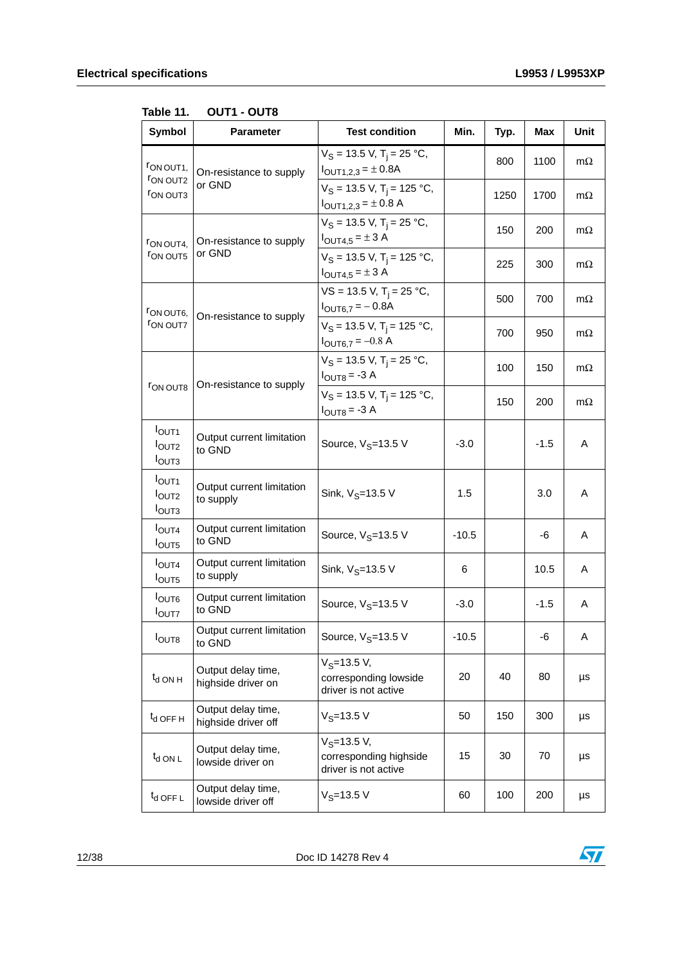| Symbol                                                             | <b>Parameter</b>                          | <b>Test condition</b>                                                                 | Min.    | Typ. | <b>Max</b> | Unit      |
|--------------------------------------------------------------------|-------------------------------------------|---------------------------------------------------------------------------------------|---------|------|------------|-----------|
| FON OUT1,<br><b>FON OUT2</b>                                       | On-resistance to supply                   | $V_S = 13.5$ V, T <sub>j</sub> = 25 °C,<br>$I_{\text{OUT1,2,3}} = \pm 0.8$ A          |         | 800  | 1100       | $m\Omega$ |
| <b>FON OUT3</b>                                                    | or GND                                    | $V_S = 13.5$ V, T <sub>i</sub> = 125 °C,<br>$I_{\text{OUT1,2,3}} = \pm 0.8 \text{ A}$ |         | 1250 | 1700       | $m\Omega$ |
| FON OUT4,                                                          | On-resistance to supply<br>or GND         | $V_S = 13.5$ V, T <sub>i</sub> = 25 °C,<br>$I_{\text{OUT4,5}} = \pm 3 \text{ A}$      |         | 150  | 200        | $m\Omega$ |
| <b>FON OUT5</b>                                                    |                                           | $V_S = 13.5$ V, T <sub>i</sub> = 125 °C,<br>$I_{\text{OUT4,5}} = \pm 3 \text{ A}$     |         | 225  | 300        | $m\Omega$ |
| FON OUT6,                                                          | On-resistance to supply                   | $VS = 13.5$ V, T <sub>j</sub> = 25 °C,<br>$I_{\text{OUT6,7}} = -0.8$ A                |         | 500  | 700        | $m\Omega$ |
| <b>FON OUT7</b>                                                    |                                           | $V_S$ = 13.5 V, T <sub>i</sub> = 125 °C,<br>$I_{\text{OUT6,7}} = -0.8 \text{ A}$      |         | 700  | 950        | $m\Omega$ |
|                                                                    |                                           | $V_S = 13.5$ V, T <sub>i</sub> = 25 °C,<br>$I_{OUT8} = -3 A$                          |         | 100  | 150        | $m\Omega$ |
| <b>FON OUT8</b>                                                    | On-resistance to supply                   | $V_S = 13.5$ V, T <sub>i</sub> = 125 °C,<br>$IOUT8 = -3 A$                            |         | 150  | 200        | $m\Omega$ |
| $I_{\text{OUT1}}$<br><b>l</b> <sub>OUT2</sub><br>I <sub>OUT3</sub> | Output current limitation<br>to GND       | Source, $V_S = 13.5 V$                                                                | $-3.0$  |      | $-1.5$     | A         |
| I <sub>OUT1</sub><br>I <sub>OUT2</sub><br>I <sub>OUT3</sub>        | Output current limitation<br>to supply    | Sink, $V_S = 13.5 V$                                                                  | 1.5     |      | 3.0        | A         |
| I <sub>OUT4</sub><br>I <sub>OUT5</sub>                             | Output current limitation<br>to GND       | Source, $V_S = 13.5 V$                                                                | $-10.5$ |      | -6         | A         |
| $I_{\text{OUT4}}$<br>I <sub>OUT5</sub>                             | Output current limitation<br>to supply    | Sink, $V_S = 13.5 V$                                                                  | 6       |      | 10.5       | A         |
| $I_{\text{OUT6}}$<br><b>I</b> OUT7                                 | Output current limitation<br>to GND       | Source, $V_S = 13.5 V$                                                                | $-3.0$  |      | $-1.5$     | A         |
| <b>I</b> OUT <sub>8</sub>                                          | Output current limitation<br>to GND       | Source, V <sub>S</sub> =13.5 V                                                        | $-10.5$ |      | -6         | Α         |
| $t_{d}$ ON H                                                       | Output delay time,<br>highside driver on  | $V_S = 13.5 V,$<br>corresponding lowside<br>driver is not active                      | 20      | 40   | 80         | $\mu s$   |
| $t_d$ OFF H                                                        | Output delay time,<br>highside driver off | $V_S = 13.5 V$                                                                        | 50      | 150  | 300        | μs        |
| $t_{d}$ ON L                                                       | Output delay time,<br>lowside driver on   | $V_S = 13.5 V,$<br>corresponding highside<br>driver is not active                     | 15      | 30   | 70         | μs        |
| $t_d$ OFF L                                                        | Output delay time,<br>lowside driver off  | $V_S = 13.5 V$                                                                        | 60      | 100  | 200        | μs        |

<span id="page-11-0"></span>Table 11. **OUT1 - OUT8** 



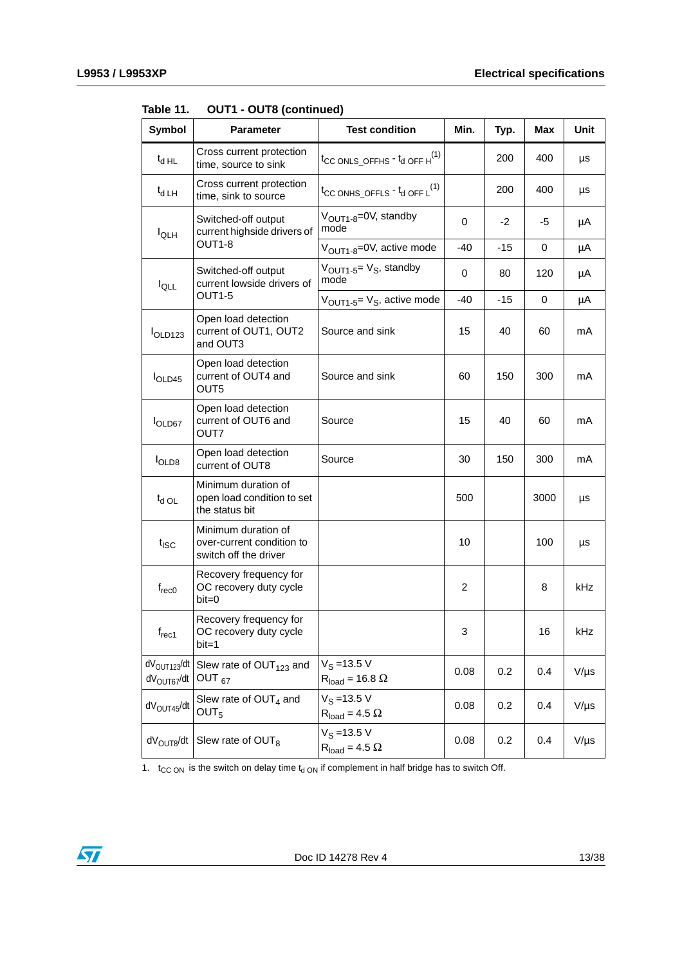| Symbol                                             | <b>Parameter</b>                                                          | <b>Test condition</b>                                  | Min. | Typ.  | Max  | Unit      |
|----------------------------------------------------|---------------------------------------------------------------------------|--------------------------------------------------------|------|-------|------|-----------|
| $t_{d H L}$                                        | Cross current protection<br>time, source to sink                          | $t_{CC}$ ONLS_OFFHS $-t_d$ OFF $H^{(1)}$               |      | 200   | 400  | μs        |
| $t_{d LH}$                                         | Cross current protection<br>time, sink to source                          | $t_{CC}$ ONHS_OFFLS $-t_d$ OFF L <sup>(1)</sup>        |      | 200   | 400  | μs        |
| $I_{QLH}$                                          | Switched-off output<br>current highside drivers of                        | V <sub>OUT1-8</sub> =0V, standby<br>mode               | 0    | -2    | -5   | μA        |
|                                                    | OUT1-8                                                                    | V <sub>OUT1-8</sub> =0V, active mode                   | -40  | $-15$ | 0    | μA        |
| $I_{\text{QLL}}$                                   | Switched-off output<br>current lowside drivers of                         | V <sub>OUT1-5</sub> = V <sub>S</sub> , standby<br>mode | 0    | 80    | 120  | μA        |
|                                                    | OUT1-5                                                                    | $V_{\text{OUT1-5}} = V_{\text{S}}$ , active mode       | -40  | $-15$ | 0    | μA        |
| I <sub>OLD123</sub>                                | Open load detection<br>current of OUT1, OUT2<br>and OUT3                  | Source and sink                                        | 15   | 40    | 60   | mA        |
| I <sub>OLD45</sub>                                 | Open load detection<br>current of OUT4 and<br>OUT5                        | Source and sink                                        | 60   | 150   | 300  | mA        |
| l <sub>OLD67</sub>                                 | Open load detection<br>current of OUT6 and<br>OUT7                        | Source                                                 | 15   | 40    | 60   | mA        |
| I <sub>OLD8</sub>                                  | Open load detection<br>current of OUT8                                    | Source                                                 | 30   | 150   | 300  | mA        |
| $t_{d}$ OL                                         | Minimum duration of<br>open load condition to set<br>the status bit       |                                                        | 500  |       | 3000 | μs        |
| $t_{\text{ISC}}$                                   | Minimum duration of<br>over-current condition to<br>switch off the driver |                                                        | 10   |       | 100  | μs        |
| $f_{rec0}$                                         | Recovery frequency for<br>OC recovery duty cycle<br>$bit = 0$             |                                                        | 2    |       | 8    | kHz       |
| $f_{rec1}$                                         | Recovery frequency for<br>OC recovery duty cycle<br>$bit = 1$             |                                                        | 3    |       | 16   | kHz       |
| $dV_{\text{OUT123}}/dt$<br>dV <sub>OUT67</sub> /dt | Slew rate of $OUT123$ and<br>OUT <sub>67</sub>                            | $V_S = 13.5 V$<br>$R_{load} = 16.8 \Omega$             | 0.08 | 0.2   | 0.4  | $V/\mu s$ |
| $dV_{\text{OUT45}}/dt$                             | Slew rate of OUT <sub>4</sub> and<br>OUT <sub>5</sub>                     | $V_S = 13.5 V$<br>$R_{load} = 4.5 \Omega$              | 0.08 | 0.2   | 0.4  | $V/\mu s$ |
| dV <sub>OUT8</sub> /dt                             | Slew rate of OUT <sub>8</sub>                                             | $V_S = 13.5 V$<br>$R_{load} = 4.5 \Omega$              | 0.08 | 0.2   | 0.4  | $V/\mu s$ |

**Table 11. OUT1 - OUT8 (continued)**

1.  $t_{CC ON}$  is the switch on delay time  $t_{d ON}$  if complement in half bridge has to switch Off.

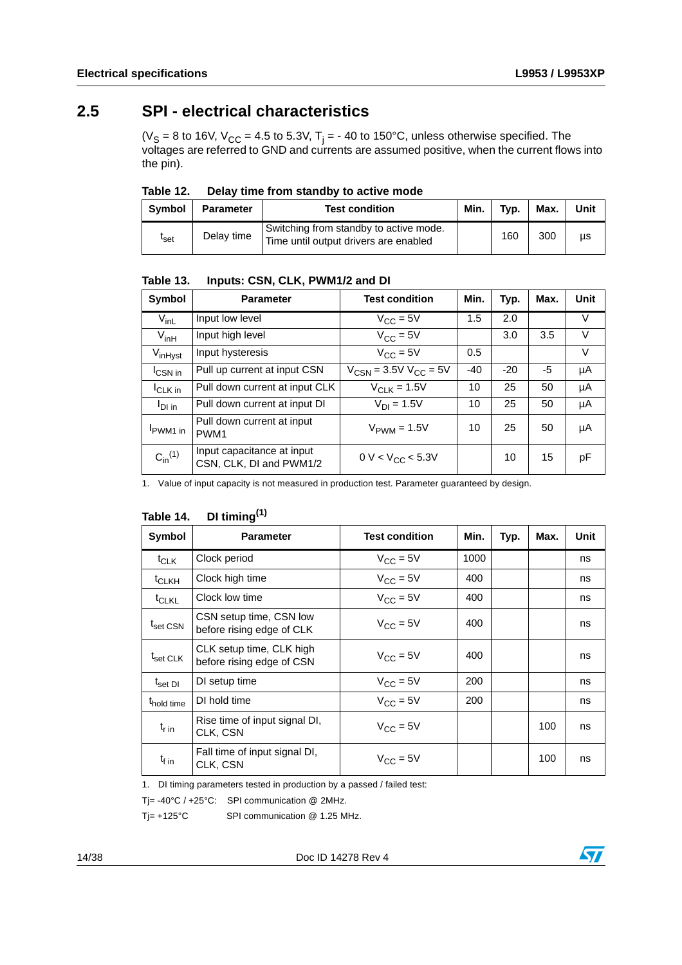### <span id="page-13-0"></span>**2.5 SPI - electrical characteristics**

(V<sub>S</sub> = 8 to 16V, V<sub>CC</sub> = 4.5 to 5.3V, T<sub>j</sub> = - 40 to 150°C, unless otherwise specified. The voltages are referred to GND and currents are assumed positive, when the current flows into the pin).

<span id="page-13-1"></span>Table 12. Delay time from standby to active mode

| Symbol           | <b>Parameter</b> | <b>Test condition</b>                                                           | Min. | Typ. | Max. | Unit |
|------------------|------------------|---------------------------------------------------------------------------------|------|------|------|------|
| <sup>l</sup> set | Delay time       | Switching from standby to active mode.<br>Time until output drivers are enabled |      | 160  | 300  | μs   |

<span id="page-13-2"></span>Table 13. **Table 13. Inputs: CSN, CLK, PWM1/2 and DI**

| Symbol              | <b>Parameter</b>                                      | <b>Test condition</b>        | Min.  | Typ.  | Max. | Unit |
|---------------------|-------------------------------------------------------|------------------------------|-------|-------|------|------|
| $V_{\text{inL}}$    | Input low level                                       | $V_{CC} = 5V$                | 1.5   | 2.0   |      | V    |
| $V_{inH}$           | Input high level                                      | $V_{CC} = 5V$                |       | 3.0   | 3.5  | V    |
| V <sub>inHyst</sub> | Input hysteresis                                      | $V_{CC} = 5V$                | 0.5   |       |      | V    |
| <b>CSN</b> in       | Pull up current at input CSN                          | $V_{CSN} = 3.5V V_{CC} = 5V$ | $-40$ | $-20$ | -5   | μA   |
| <sup>I</sup> CLK in | Pull down current at input CLK                        | $V_{\text{C1 K}} = 1.5V$     | 10    | 25    | 50   | μA   |
| $I_{DI}$ in         | Pull down current at input DI                         | $V_{D1} = 1.5V$              | 10    | 25    | 50   | μA   |
| PWM1 in             | Pull down current at input<br>PWM <sub>1</sub>        | $V_{\text{PWM}} = 1.5V$      | 10    | 25    | 50   | μA   |
| $C_{in}^{(1)}$      | Input capacitance at input<br>CSN, CLK, DI and PWM1/2 | $0 V < V_{CC} < 5.3 V$       |       | 10    | 15   | pF   |

1. Value of input capacity is not measured in production test. Parameter guaranteed by design.

#### <span id="page-13-3"></span>Table 14. **Table 14. DI timing(1)**

| Symbol                          | <b>Parameter</b>                                      | <b>Test condition</b> | Min. | Typ. | Max. | Unit |
|---------------------------------|-------------------------------------------------------|-----------------------|------|------|------|------|
| t <sub>CLK</sub>                | Clock period                                          | $V_{CC} = 5V$         | 1000 |      |      | ns   |
| <sup>t</sup> CLKH               | Clock high time                                       | $V_{\rm CC} = 5V$     | 400  |      |      | ns   |
| <sup>t</sup> CLKL               | Clock low time                                        | $V_{\rm CC} = 5V$     | 400  |      |      | ns   |
| t <sub>set CSN</sub>            | CSN setup time, CSN low<br>before rising edge of CLK  | $V_{\rm CC} = 5V$     | 400  |      |      | ns   |
| $\mathsf{t}_{\mathsf{set}}$ CLK | CLK setup time, CLK high<br>before rising edge of CSN | $V_{\rm CC} = 5V$     | 400  |      |      | ns   |
| $\mathsf{t}_{\mathsf{set}}$ DI  | DI setup time                                         | $V_{\rm CC} = 5V$     | 200  |      |      | ns   |
| t <sub>hold time</sub>          | DI hold time                                          | $V_{CC} = 5V$         | 200  |      |      | ns   |
| $t_{\rm r}$ in                  | Rise time of input signal DI,<br>CLK, CSN             | $V_{\rm CC} = 5V$     |      |      | 100  | ns   |
| $t_{\text{f}}$ in               | Fall time of input signal DI,<br>CLK, CSN             | $V_{CC}$ = 5V         |      |      | 100  | ns   |

1. DI timing parameters tested in production by a passed / failed test:

Tj= -40°C / +25°C: SPI communication @ 2MHz.

Tj= +125°C SPI communication @ 1.25 MHz.

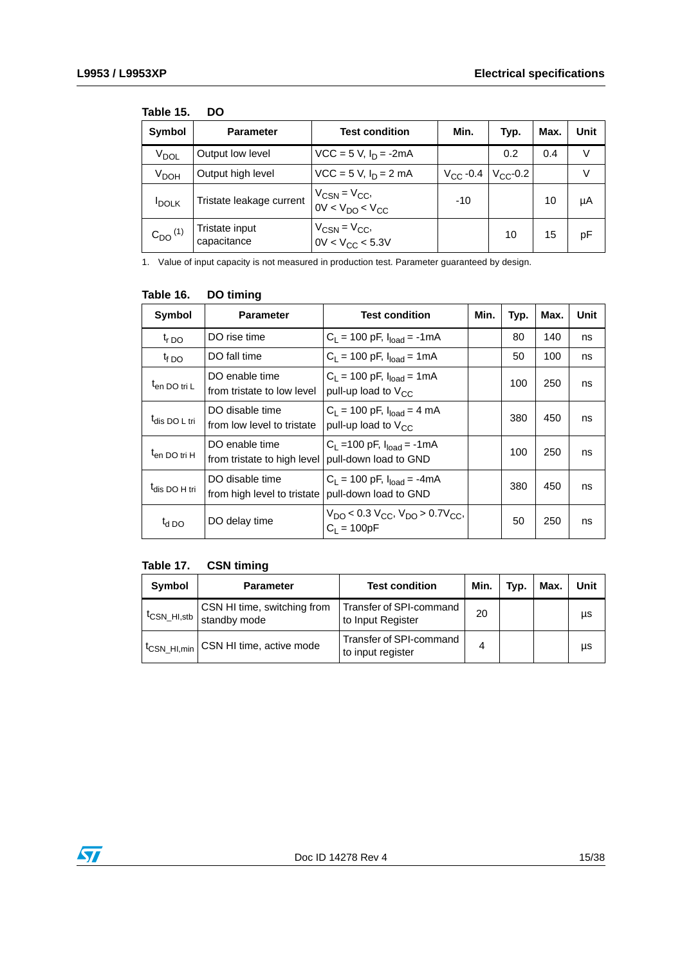| <b>Symbol</b>           | <b>Parameter</b>              | <b>Test condition</b>                        | Min.              | Typ.          | Max. | Unit   |
|-------------------------|-------------------------------|----------------------------------------------|-------------------|---------------|------|--------|
| V <sub>DOL</sub>        | Output low level              | $VCC = 5 V, I_D = -2mA$                      |                   | 0.2           | 0.4  | V      |
| V <sub>DOH</sub>        | Output high level             | $VCC = 5 V, I_D = 2 mA$                      | $V_{\rm CC}$ -0.4 | $V_{CC}$ -0.2 |      | $\vee$ |
| <b>IDOLK</b>            | Tristate leakage current      | $V_{CSN} = V_{CC}$<br>$0V < V_{DO} < V_{CC}$ | $-10$             |               | 10   | μA     |
| $C_{DO}$ <sup>(1)</sup> | Tristate input<br>capacitance | $V_{CSN} = V_{CC}$<br>$0V < V_{CC} < 5.3V$   |                   | 10            | 15   | pF     |

#### <span id="page-14-0"></span>**Table 15. DO**

1. Value of input capacity is not measured in production test. Parameter guaranteed by design.

| Symbol                    | <b>Parameter</b>                               | <b>Test condition</b>                                                                            | Min. | Typ. | Max. | Unit |
|---------------------------|------------------------------------------------|--------------------------------------------------------------------------------------------------|------|------|------|------|
| $t_{r,DO}$                | DO rise time                                   | $C_L$ = 100 pF, $I_{load}$ = -1mA                                                                |      | 80   | 140  | ns   |
| $t_{f}$ DO                | DO fall time                                   | $C_1 = 100$ pF, $I_{load} = 1$ mA                                                                |      | 50   | 100  | ns   |
| t <sub>en DO tri L</sub>  | DO enable time<br>from tristate to low level   | $C_1 = 100$ pF, $I_{load} = 1$ mA<br>pull-up load to $V_{CC}$                                    |      | 100  | 250  | ns   |
| t <sub>dis</sub> DO L tri | DO disable time<br>from low level to tristate  | $C_1 = 100$ pF, $I_{load} = 4$ mA<br>pull-up load to $V_{CC}$                                    |      | 380  | 450  | ns   |
| t <sub>en DO tri H</sub>  | DO enable time<br>from tristate to high level  | $C_1$ = 100 pF, $I_{load}$ = -1 mA<br>pull-down load to GND                                      |      | 100  | 250  | ns   |
| t <sub>dis</sub> DO H tri | DO disable time<br>from high level to tristate | $C_1 = 100$ pF, $I_{load} = -4$ mA<br>pull-down load to GND                                      |      | 380  | 450  | ns   |
| $t_{d}$ DO                | DO delay time                                  | $V_{\text{DO}}$ < 0.3 $V_{\text{CC}}$ , $V_{\text{DO}}$ > 0.7 $V_{\text{CC}}$ ,<br>$C_1 = 100pF$ |      | 50   | 250  | ns   |

#### <span id="page-14-1"></span>Table 16. **DO timing**

#### <span id="page-14-2"></span>**Table 17. CSN timing**

| Symbol | <b>Parameter</b>                                                      | <b>Test condition</b>                        | Min. | Typ. | Max. | Unit |
|--------|-----------------------------------------------------------------------|----------------------------------------------|------|------|------|------|
|        | CSN HI time, switching from<br><sup>t</sup> CSN_HI,stb   standby mode | Transfer of SPI-command<br>to Input Register | 20   |      |      | μs   |
|        | t <sub>CSN_HI,min</sub> CSN HI time, active mode                      | Transfer of SPI-command<br>to input register | 4    |      |      | μs   |

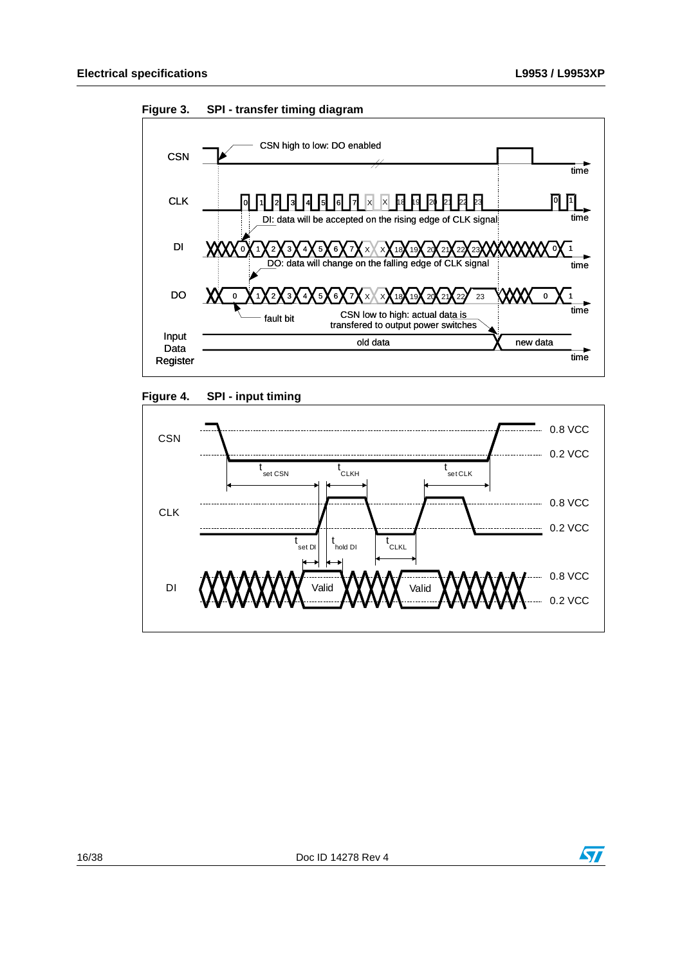

<span id="page-15-0"></span>

<span id="page-15-1"></span>



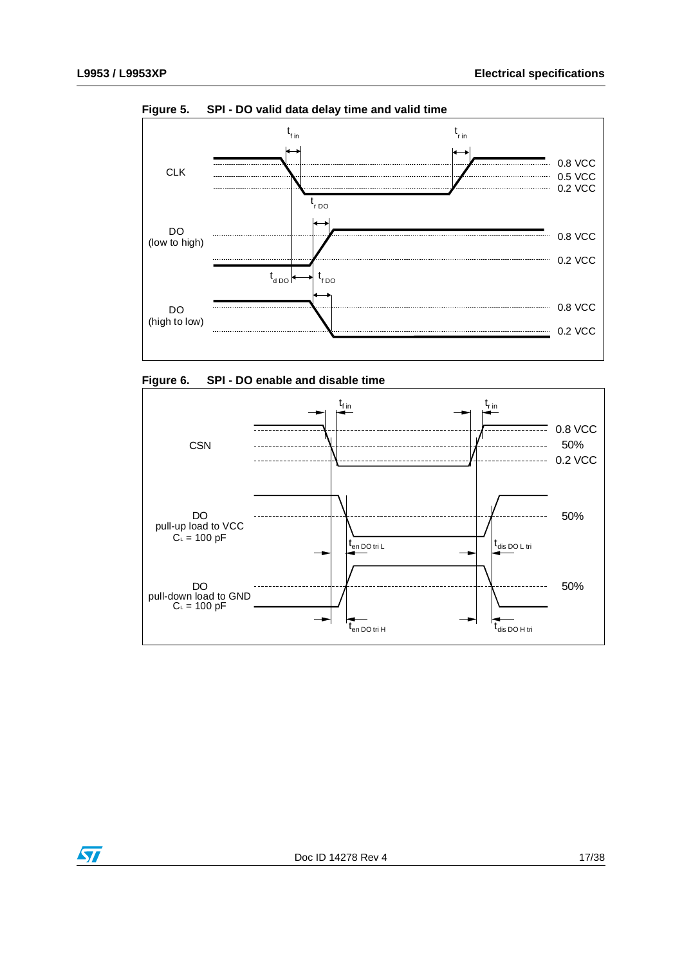

<span id="page-16-0"></span>**Figure 5. SPI - DO valid data delay time and valid time**

<span id="page-16-1"></span>



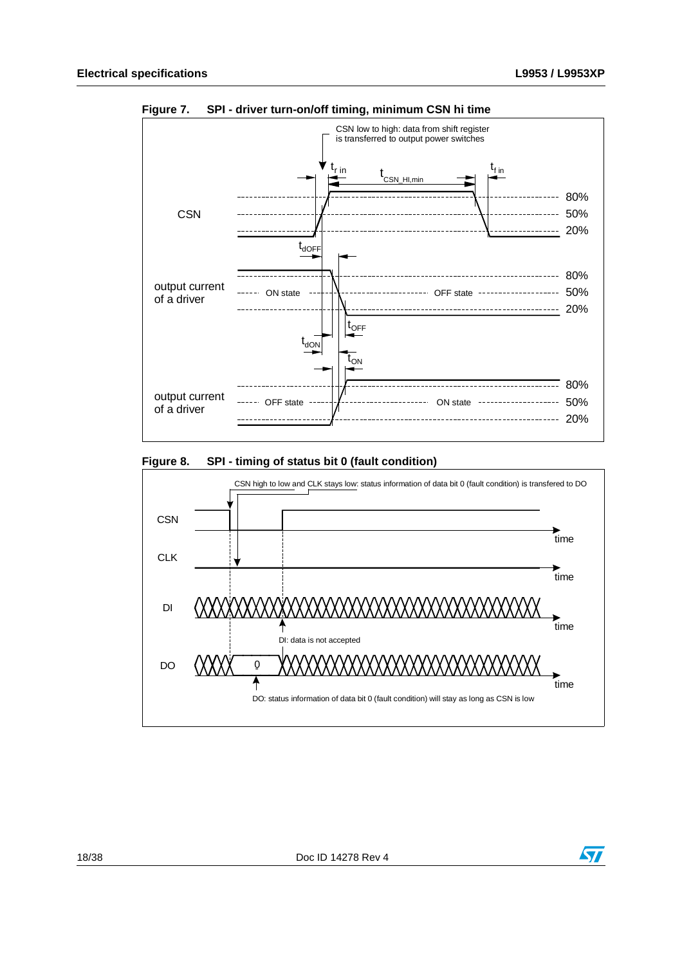

<span id="page-17-0"></span>**Figure 7. SPI - driver turn-on/off timing, minimum CSN hi time**

#### <span id="page-17-1"></span>**Figure 8. SPI - timing of status bit 0 (fault condition)**



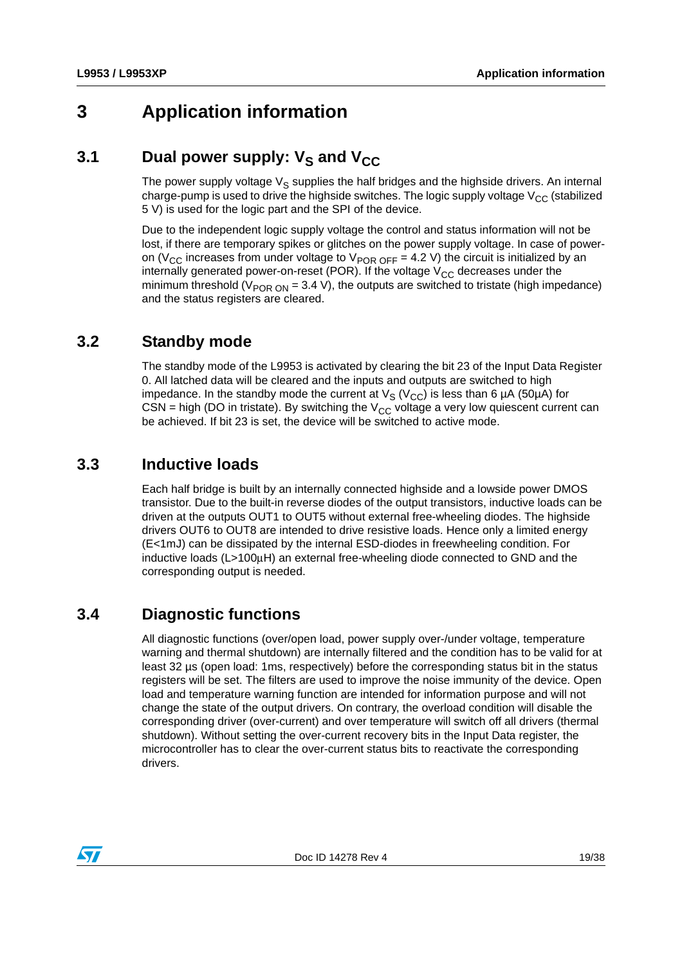## <span id="page-18-0"></span>**3 Application information**

## <span id="page-18-1"></span>**3.1** Dual power supply: V<sub>S</sub> and V<sub>CC</sub>

The power supply voltage  $V_S$  supplies the half bridges and the highside drivers. An internal charge-pump is used to drive the highside switches. The logic supply voltage  $V_{CC}$  (stabilized 5 V) is used for the logic part and the SPI of the device.

Due to the independent logic supply voltage the control and status information will not be lost, if there are temporary spikes or glitches on the power supply voltage. In case of poweron (V<sub>CC</sub> increases from under voltage to V<sub>POR OFF</sub> = 4.2 V) the circuit is initialized by an internally generated power-on-reset (POR). If the voltage  $V_{CC}$  decreases under the minimum threshold ( $V_{POR ON}$  = 3.4 V), the outputs are switched to tristate (high impedance) and the status registers are cleared.

#### <span id="page-18-2"></span>**3.2 Standby mode**

The standby mode of the L9953 is activated by clearing the bit 23 of the Input Data Register 0. All latched data will be cleared and the inputs and outputs are switched to high impedance. In the standby mode the current at  $V_S (V_{CC})$  is less than 6 µA (50µA) for CSN = high (DO in tristate). By switching the  $V_{CC}$  voltage a very low quiescent current can be achieved. If bit 23 is set, the device will be switched to active mode.

#### <span id="page-18-3"></span>**3.3 Inductive loads**

Each half bridge is built by an internally connected highside and a lowside power DMOS transistor. Due to the built-in reverse diodes of the output transistors, inductive loads can be driven at the outputs OUT1 to OUT5 without external free-wheeling diodes. The highside drivers OUT6 to OUT8 are intended to drive resistive loads. Hence only a limited energy (E<1mJ) can be dissipated by the internal ESD-diodes in freewheeling condition. For inductive loads (L>100μH) an external free-wheeling diode connected to GND and the corresponding output is needed.

### <span id="page-18-4"></span>**3.4 Diagnostic functions**

All diagnostic functions (over/open load, power supply over-/under voltage, temperature warning and thermal shutdown) are internally filtered and the condition has to be valid for at least 32 µs (open load: 1ms, respectively) before the corresponding status bit in the status registers will be set. The filters are used to improve the noise immunity of the device. Open load and temperature warning function are intended for information purpose and will not change the state of the output drivers. On contrary, the overload condition will disable the corresponding driver (over-current) and over temperature will switch off all drivers (thermal shutdown). Without setting the over-current recovery bits in the Input Data register, the microcontroller has to clear the over-current status bits to reactivate the corresponding drivers.

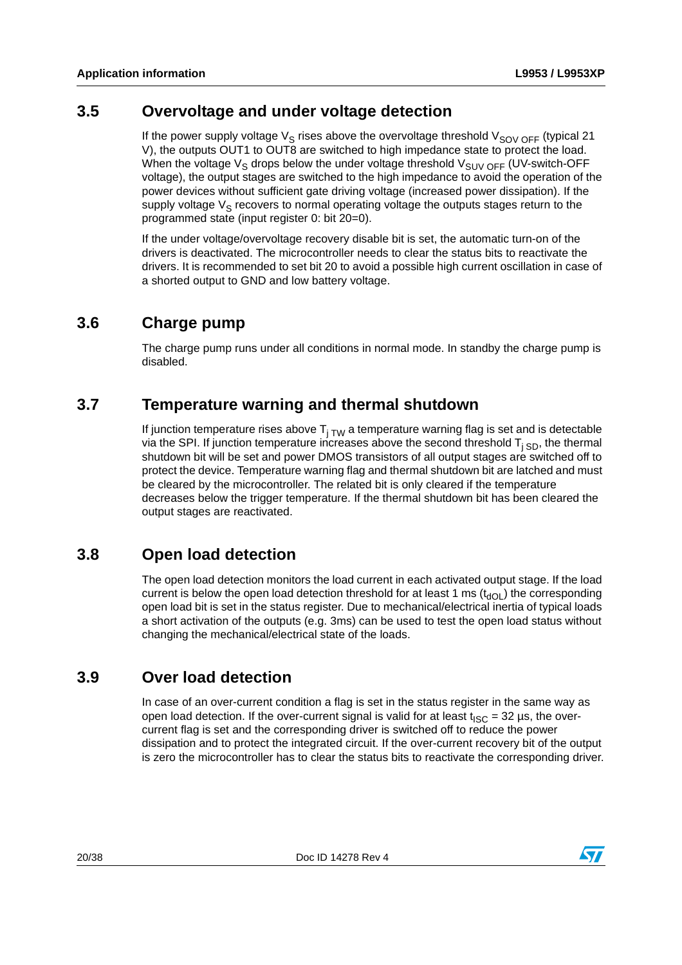#### <span id="page-19-0"></span>**3.5 Overvoltage and under voltage detection**

If the power supply voltage  $V_S$  rises above the overvoltage threshold  $V_{SOV OFF}$  (typical 21 V), the outputs OUT1 to OUT8 are switched to high impedance state to protect the load. When the voltage  $V_S$  drops below the under voltage threshold  $V_{SUVOFF}$  (UV-switch-OFF voltage), the output stages are switched to the high impedance to avoid the operation of the power devices without sufficient gate driving voltage (increased power dissipation). If the supply voltage  $V_S$  recovers to normal operating voltage the outputs stages return to the programmed state (input register 0: bit 20=0).

If the under voltage/overvoltage recovery disable bit is set, the automatic turn-on of the drivers is deactivated. The microcontroller needs to clear the status bits to reactivate the drivers. It is recommended to set bit 20 to avoid a possible high current oscillation in case of a shorted output to GND and low battery voltage.

#### <span id="page-19-1"></span>**3.6 Charge pump**

The charge pump runs under all conditions in normal mode. In standby the charge pump is disabled.

#### <span id="page-19-2"></span>**3.7 Temperature warning and thermal shutdown**

If junction temperature rises above  $T_{i, TW}$  a temperature warning flag is set and is detectable via the SPI. If junction temperature increases above the second threshold  $T_{j SD}$ , the thermal shutdown bit will be set and power DMOS transistors of all output stages are switched off to protect the device. Temperature warning flag and thermal shutdown bit are latched and must be cleared by the microcontroller. The related bit is only cleared if the temperature decreases below the trigger temperature. If the thermal shutdown bit has been cleared the output stages are reactivated.

#### <span id="page-19-3"></span>**3.8 Open load detection**

The open load detection monitors the load current in each activated output stage. If the load current is below the open load detection threshold for at least 1 ms  $(t<sub>d</sub>)$  the corresponding open load bit is set in the status register. Due to mechanical/electrical inertia of typical loads a short activation of the outputs (e.g. 3ms) can be used to test the open load status without changing the mechanical/electrical state of the loads.

#### <span id="page-19-4"></span>**3.9 Over load detection**

In case of an over-current condition a flag is set in the status register in the same way as open load detection. If the over-current signal is valid for at least  $t_{\text{ISC}} = 32 \,\mu s$ , the overcurrent flag is set and the corresponding driver is switched off to reduce the power dissipation and to protect the integrated circuit. If the over-current recovery bit of the output is zero the microcontroller has to clear the status bits to reactivate the corresponding driver.

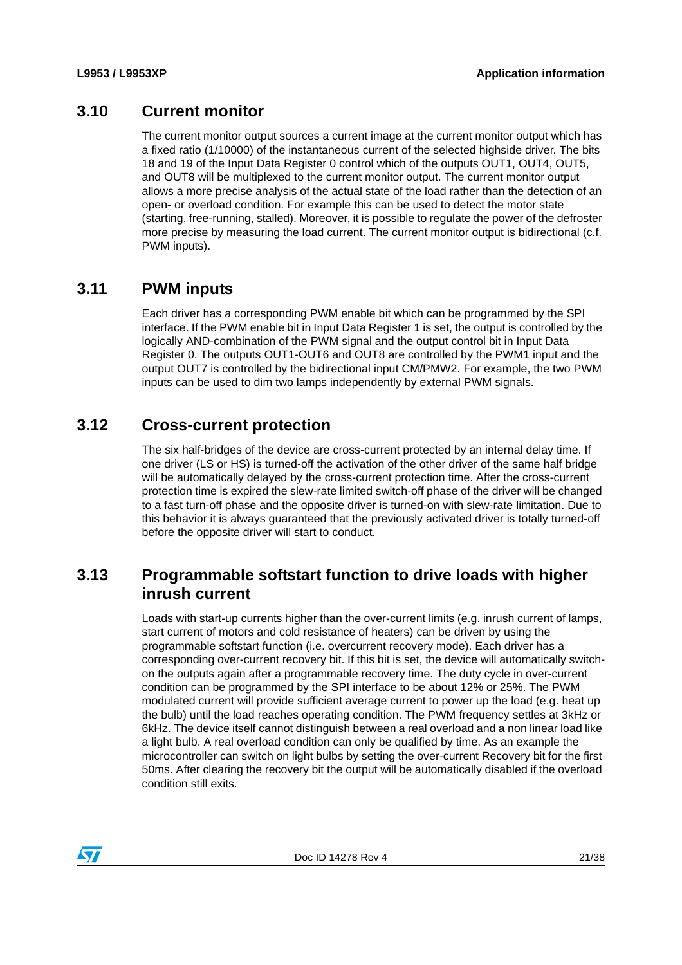#### <span id="page-20-0"></span>**3.10 Current monitor**

The current monitor output sources a current image at the current monitor output which has a fixed ratio (1/10000) of the instantaneous current of the selected highside driver. The bits 18 and 19 of the Input Data Register 0 control which of the outputs OUT1, OUT4, OUT5, and OUT8 will be multiplexed to the current monitor output. The current monitor output allows a more precise analysis of the actual state of the load rather than the detection of an open- or overload condition. For example this can be used to detect the motor state (starting, free-running, stalled). Moreover, it is possible to regulate the power of the defroster more precise by measuring the load current. The current monitor output is bidirectional (c.f. PWM inputs).

#### <span id="page-20-1"></span>**3.11 PWM inputs**

Each driver has a corresponding PWM enable bit which can be programmed by the SPI interface. If the PWM enable bit in Input Data Register 1 is set, the output is controlled by the logically AND-combination of the PWM signal and the output control bit in Input Data Register 0. The outputs OUT1-OUT6 and OUT8 are controlled by the PWM1 input and the output OUT7 is controlled by the bidirectional input CM/PMW2. For example, the two PWM inputs can be used to dim two lamps independently by external PWM signals.

#### <span id="page-20-2"></span>**3.12 Cross-current protection**

The six half-bridges of the device are cross-current protected by an internal delay time. If one driver (LS or HS) is turned-off the activation of the other driver of the same half bridge will be automatically delayed by the cross-current protection time. After the cross-current protection time is expired the slew-rate limited switch-off phase of the driver will be changed to a fast turn-off phase and the opposite driver is turned-on with slew-rate limitation. Due to this behavior it is always guaranteed that the previously activated driver is totally turned-off before the opposite driver will start to conduct.

#### <span id="page-20-3"></span>**3.13 Programmable softstart function to drive loads with higher inrush current**

Loads with start-up currents higher than the over-current limits (e.g. inrush current of lamps, start current of motors and cold resistance of heaters) can be driven by using the programmable softstart function (i.e. overcurrent recovery mode). Each driver has a corresponding over-current recovery bit. If this bit is set, the device will automatically switchon the outputs again after a programmable recovery time. The duty cycle in over-current condition can be programmed by the SPI interface to be about 12% or 25%. The PWM modulated current will provide sufficient average current to power up the load (e.g. heat up the bulb) until the load reaches operating condition. The PWM frequency settles at 3kHz or 6kHz. The device itself cannot distinguish between a real overload and a non linear load like a light bulb. A real overload condition can only be qualified by time. As an example the microcontroller can switch on light bulbs by setting the over-current Recovery bit for the first 50ms. After clearing the recovery bit the output will be automatically disabled if the overload condition still exits.

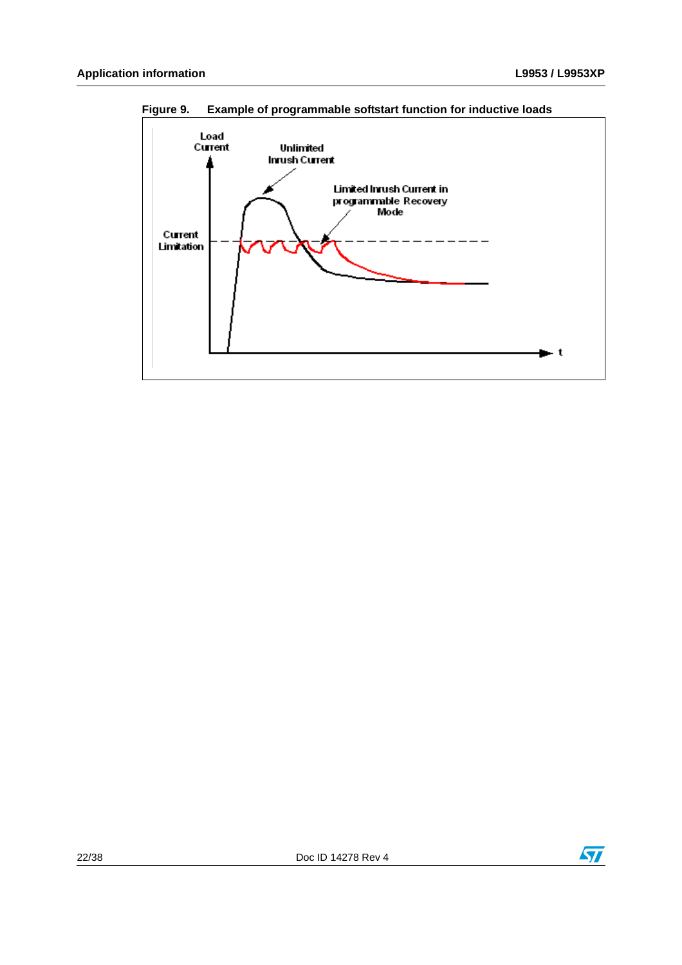

<span id="page-21-0"></span>**Figure 9. Example of programmable softstart function for inductive loads**

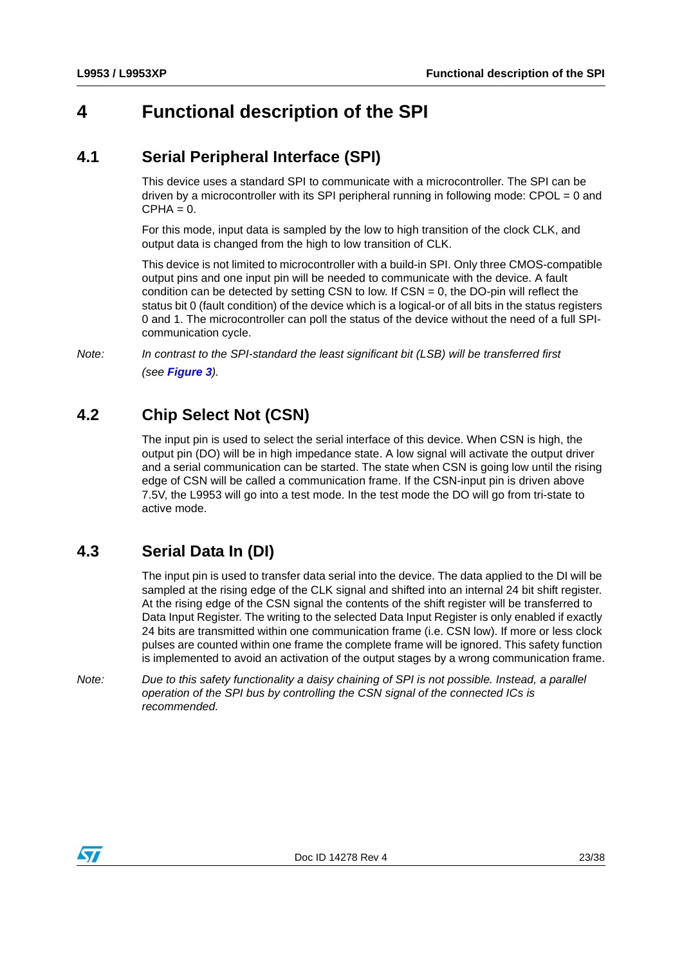## <span id="page-22-0"></span>**4 Functional description of the SPI**

#### <span id="page-22-1"></span>**4.1 Serial Peripheral Interface (SPI)**

This device uses a standard SPI to communicate with a microcontroller. The SPI can be driven by a microcontroller with its SPI peripheral running in following mode: CPOL = 0 and  $CPHA = 0.$ 

For this mode, input data is sampled by the low to high transition of the clock CLK, and output data is changed from the high to low transition of CLK.

This device is not limited to microcontroller with a build-in SPI. Only three CMOS-compatible output pins and one input pin will be needed to communicate with the device. A fault condition can be detected by setting CSN to low. If  $CSN = 0$ , the DO-pin will reflect the status bit 0 (fault condition) of the device which is a logical-or of all bits in the status registers 0 and 1. The microcontroller can poll the status of the device without the need of a full SPIcommunication cycle.

*Note: In contrast to the SPI-standard the least significant bit (LSB) will be transferred first (see [Figure 3](#page-15-0)).*

## <span id="page-22-2"></span>**4.2 Chip Select Not (CSN)**

The input pin is used to select the serial interface of this device. When CSN is high, the output pin (DO) will be in high impedance state. A low signal will activate the output driver and a serial communication can be started. The state when CSN is going low until the rising edge of CSN will be called a communication frame. If the CSN-input pin is driven above 7.5V, the L9953 will go into a test mode. In the test mode the DO will go from tri-state to active mode.

### <span id="page-22-3"></span>**4.3 Serial Data In (DI)**

The input pin is used to transfer data serial into the device. The data applied to the DI will be sampled at the rising edge of the CLK signal and shifted into an internal 24 bit shift register. At the rising edge of the CSN signal the contents of the shift register will be transferred to Data Input Register. The writing to the selected Data Input Register is only enabled if exactly 24 bits are transmitted within one communication frame (i.e. CSN low). If more or less clock pulses are counted within one frame the complete frame will be ignored. This safety function is implemented to avoid an activation of the output stages by a wrong communication frame.

*Note: Due to this safety functionality a daisy chaining of SPI is not possible. Instead, a parallel operation of the SPI bus by controlling the CSN signal of the connected ICs is recommended.* 

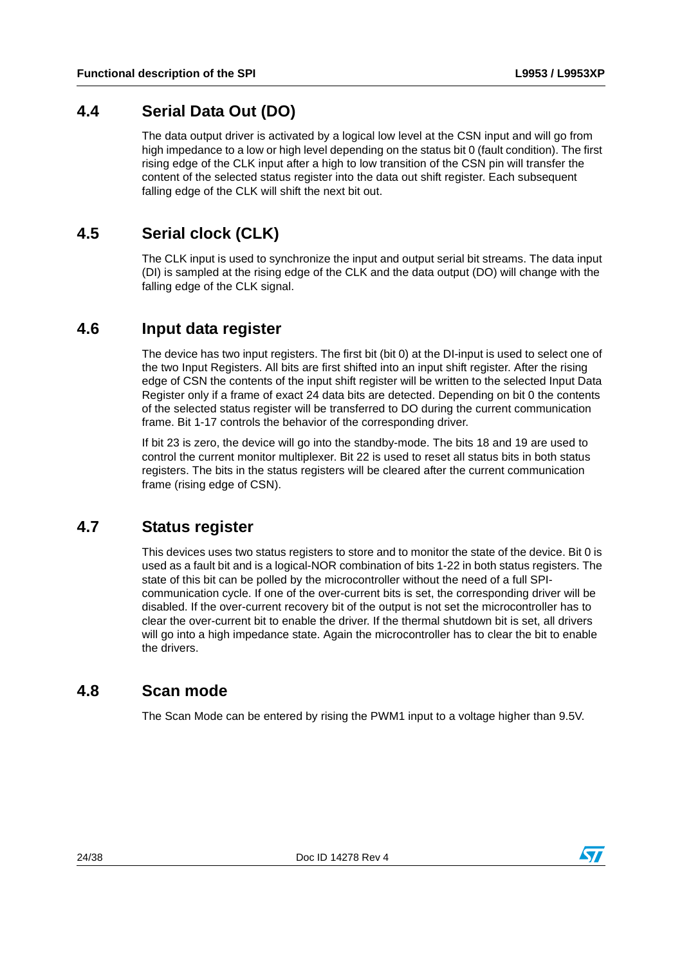#### <span id="page-23-0"></span>**4.4 Serial Data Out (DO)**

The data output driver is activated by a logical low level at the CSN input and will go from high impedance to a low or high level depending on the status bit 0 (fault condition). The first rising edge of the CLK input after a high to low transition of the CSN pin will transfer the content of the selected status register into the data out shift register. Each subsequent falling edge of the CLK will shift the next bit out.

### <span id="page-23-1"></span>**4.5 Serial clock (CLK)**

The CLK input is used to synchronize the input and output serial bit streams. The data input (DI) is sampled at the rising edge of the CLK and the data output (DO) will change with the falling edge of the CLK signal.

#### <span id="page-23-2"></span>**4.6 Input data register**

The device has two input registers. The first bit (bit 0) at the DI-input is used to select one of the two Input Registers. All bits are first shifted into an input shift register. After the rising edge of CSN the contents of the input shift register will be written to the selected Input Data Register only if a frame of exact 24 data bits are detected. Depending on bit 0 the contents of the selected status register will be transferred to DO during the current communication frame. Bit 1-17 controls the behavior of the corresponding driver.

If bit 23 is zero, the device will go into the standby-mode. The bits 18 and 19 are used to control the current monitor multiplexer. Bit 22 is used to reset all status bits in both status registers. The bits in the status registers will be cleared after the current communication frame (rising edge of CSN).

#### <span id="page-23-3"></span>**4.7 Status register**

This devices uses two status registers to store and to monitor the state of the device. Bit 0 is used as a fault bit and is a logical-NOR combination of bits 1-22 in both status registers. The state of this bit can be polled by the microcontroller without the need of a full SPIcommunication cycle. If one of the over-current bits is set, the corresponding driver will be disabled. If the over-current recovery bit of the output is not set the microcontroller has to clear the over-current bit to enable the driver. If the thermal shutdown bit is set, all drivers will go into a high impedance state. Again the microcontroller has to clear the bit to enable the drivers.

### <span id="page-23-4"></span>**4.8 Scan mode**

The Scan Mode can be entered by rising the PWM1 input to a voltage higher than 9.5V.

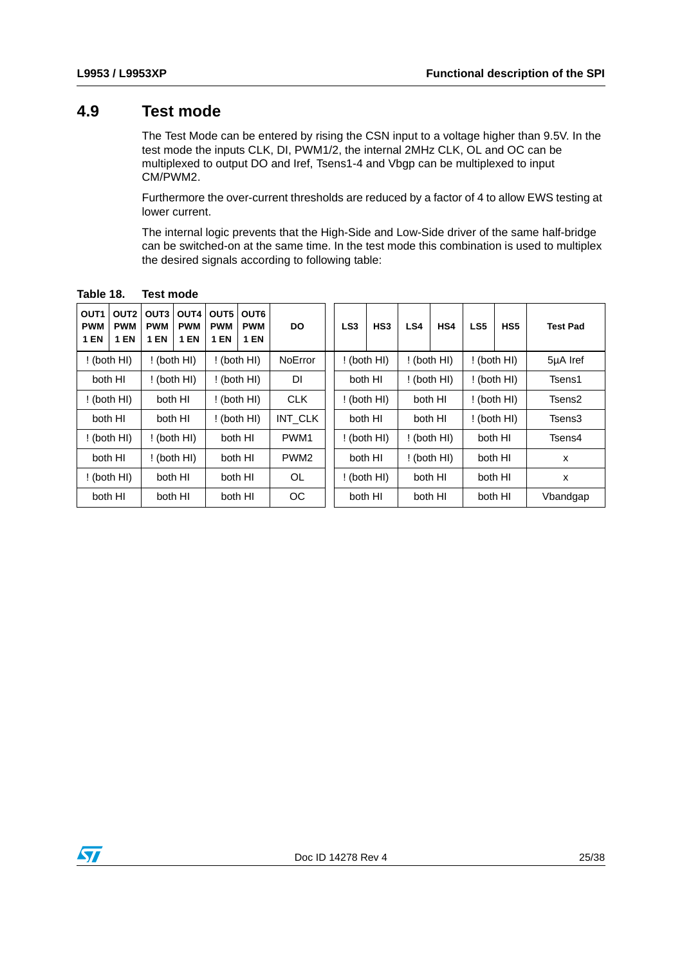#### <span id="page-24-0"></span>**4.9 Test mode**

The Test Mode can be entered by rising the CSN input to a voltage higher than 9.5V. In the test mode the inputs CLK, DI, PWM1/2, the internal 2MHz CLK, OL and OC can be multiplexed to output DO and Iref, Tsens1-4 and Vbgp can be multiplexed to input CM/PWM2.

Furthermore the over-current thresholds are reduced by a factor of 4 to allow EWS testing at lower current.

The internal logic prevents that the High-Side and Low-Side driver of the same half-bridge can be switched-on at the same time. In the test mode this combination is used to multiplex the desired signals according to following table:

| OUT <sub>1</sub><br>OUT <sub>2</sub><br><b>PWM</b><br><b>PWM</b><br><b>1 EN</b><br><b>1 EN</b> | OUT3<br><b>PWM</b><br><b>1 EN</b> | OUT4<br><b>PWM</b><br><b>1 EN</b> | OUT5<br><b>PWM</b><br><b>1 EN</b> | OUT6<br><b>PWM</b><br>1 EN | <b>DO</b>        | LS <sub>3</sub> | HS <sub>3</sub> | LS4 | HS4           | LS <sub>5</sub> | HS5           | <b>Test Pad</b> |
|------------------------------------------------------------------------------------------------|-----------------------------------|-----------------------------------|-----------------------------------|----------------------------|------------------|-----------------|-----------------|-----|---------------|-----------------|---------------|-----------------|
| $!$ (both HI)                                                                                  |                                   | $!$ (both HI)                     |                                   | $!$ (both HI)              | <b>NoError</b>   |                 | $!$ (both HI)   |     | ! (both HI)   |                 | ! (both HI)   | 5µA Iref        |
| both HI                                                                                        |                                   | $!$ (both HI)                     |                                   | $!$ (both HI)              | DI               |                 | both HI         |     | $!$ (both HI) |                 | $!$ (both HI) | Tsens1          |
| ! (both HI)                                                                                    |                                   | both HI                           |                                   | $!$ (both HI)              | <b>CLK</b>       |                 | $!$ (both HI)   |     | both HI       |                 | ! (both HI)   | Tsens2          |
| both HI                                                                                        |                                   | both HI                           |                                   | $!$ (both HI)              | INT_CLK          |                 | both HI         |     | both HI       |                 | $!$ (both HI) | Tsens3          |
| $!$ (both HI)                                                                                  |                                   | $!$ (both HI)                     |                                   | both HI                    | PWM1             |                 | ! (both HI)     |     | ! (both HI)   |                 | both HI       | Tsens4          |
| both HI                                                                                        |                                   | ! (both HI)                       |                                   | both HI                    | PWM <sub>2</sub> |                 | both HI         |     | $!$ (both HI) |                 | both HI       | X               |
| ! (both HI)                                                                                    |                                   | both HI                           |                                   | both HI                    | <b>OL</b>        |                 | ! (both HI)     |     | both HI       | both HI         |               | X               |
| both HI                                                                                        |                                   | both HI                           |                                   | both HI                    | OС               |                 | both HI         |     | both HI       | both HI         |               | Vbandgap        |

#### <span id="page-24-1"></span>**Table 18. Test mode**

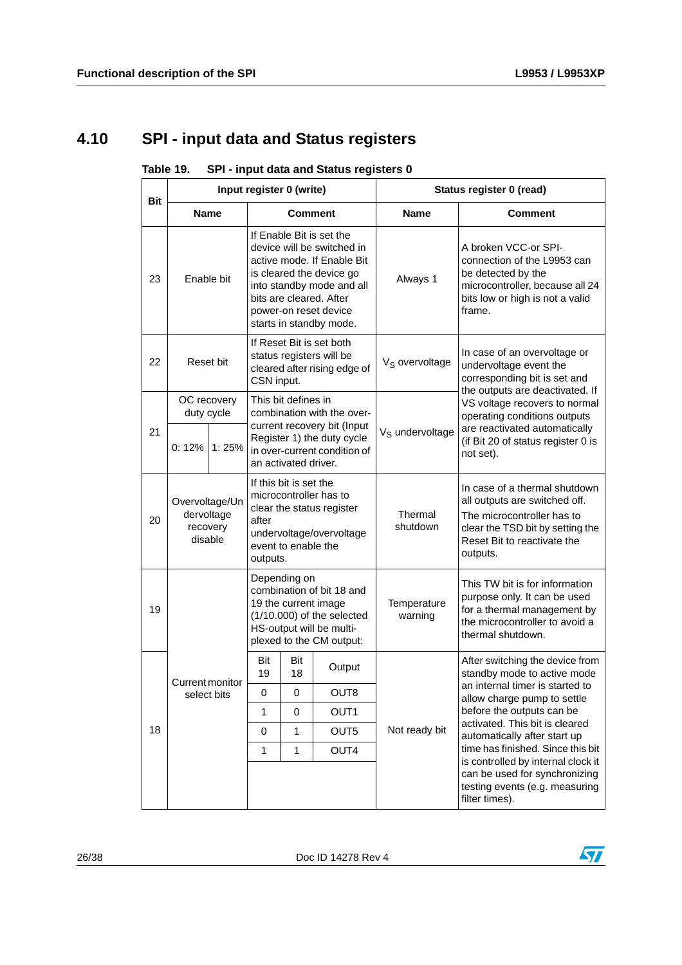# <span id="page-25-0"></span>**4.10 SPI - input data and Status registers**

<span id="page-25-1"></span>

| Table 19. | SPI - input data and Status registers 0 |  |
|-----------|-----------------------------------------|--|
|-----------|-----------------------------------------|--|

| <b>Bit</b> |                                                     |                | Input register 0 (write)                                                                                                                                                                                                     |                |                                                                                                                                           | Status register 0 (read)                                                                                                                                                    |                                                                                                                                                      |  |  |
|------------|-----------------------------------------------------|----------------|------------------------------------------------------------------------------------------------------------------------------------------------------------------------------------------------------------------------------|----------------|-------------------------------------------------------------------------------------------------------------------------------------------|-----------------------------------------------------------------------------------------------------------------------------------------------------------------------------|------------------------------------------------------------------------------------------------------------------------------------------------------|--|--|
|            | <b>Name</b>                                         |                |                                                                                                                                                                                                                              | <b>Comment</b> |                                                                                                                                           | <b>Name</b>                                                                                                                                                                 | <b>Comment</b>                                                                                                                                       |  |  |
| 23         | Enable bit                                          |                | If Enable Bit is set the<br>device will be switched in<br>active mode. If Enable Bit<br>is cleared the device go<br>into standby mode and all<br>bits are cleared. After<br>power-on reset device<br>starts in standby mode. |                | Always 1                                                                                                                                  | A broken VCC-or SPI-<br>connection of the L9953 can<br>be detected by the<br>microcontroller, because all 24<br>bits low or high is not a valid<br>frame.                   |                                                                                                                                                      |  |  |
| 22         | Reset bit                                           |                | If Reset Bit is set both<br>status registers will be<br>cleared after rising edge of<br>CSN input.                                                                                                                           |                | V <sub>S</sub> overvoltage                                                                                                                | In case of an overvoltage or<br>undervoltage event the<br>corresponding bit is set and<br>the outputs are deactivated. If                                                   |                                                                                                                                                      |  |  |
|            | duty cycle                                          | OC recovery    | This bit defines in<br>combination with the over-                                                                                                                                                                            |                |                                                                                                                                           | VS voltage recovers to normal<br>operating conditions outputs                                                                                                               |                                                                                                                                                      |  |  |
| 21         | $0:12\%$ 1:25%                                      |                | current recovery bit (Input<br>Register 1) the duty cycle<br>in over-current condition of<br>an activated driver.                                                                                                            |                | V <sub>S</sub> undervoltage                                                                                                               | are reactivated automatically<br>(if Bit 20 of status register 0 is<br>not set).                                                                                            |                                                                                                                                                      |  |  |
| 20         | Overvoltage/Un<br>dervoltage<br>recovery<br>disable |                | If this bit is set the<br>microcontroller has to<br>clear the status register<br>after<br>undervoltage/overvoltage<br>event to enable the<br>outputs.                                                                        |                | Thermal<br>shutdown                                                                                                                       | In case of a thermal shutdown<br>all outputs are switched off.<br>The microcontroller has to<br>clear the TSD bit by setting the<br>Reset Bit to reactivate the<br>outputs. |                                                                                                                                                      |  |  |
| 19         |                                                     |                |                                                                                                                                                                                                                              | Depending on   | combination of bit 18 and<br>19 the current image<br>$(1/10.000)$ of the selected<br>HS-output will be multi-<br>plexed to the CM output: | Temperature<br>warning                                                                                                                                                      | This TW bit is for information<br>purpose only. It can be used<br>for a thermal management by<br>the microcontroller to avoid a<br>thermal shutdown. |  |  |
|            | Current monitor                                     |                | Bit<br>19                                                                                                                                                                                                                    | Bit<br>18      | Output                                                                                                                                    |                                                                                                                                                                             | After switching the device from<br>standby mode to active mode                                                                                       |  |  |
|            | select bits                                         |                | 0                                                                                                                                                                                                                            | 0              | OUT8                                                                                                                                      |                                                                                                                                                                             | an internal timer is started to<br>allow charge pump to settle                                                                                       |  |  |
|            |                                                     |                | $\mathbf{1}$                                                                                                                                                                                                                 | 0              | OUT <sub>1</sub>                                                                                                                          |                                                                                                                                                                             | before the outputs can be<br>activated. This bit is cleared                                                                                          |  |  |
| 18         |                                                     | OUT5<br>0<br>1 |                                                                                                                                                                                                                              | Not ready bit  | automatically after start up                                                                                                              |                                                                                                                                                                             |                                                                                                                                                      |  |  |
|            |                                                     |                | 1                                                                                                                                                                                                                            | 1              | OUT4                                                                                                                                      |                                                                                                                                                                             | time has finished. Since this bit<br>is controlled by internal clock it                                                                              |  |  |
|            |                                                     |                |                                                                                                                                                                                                                              |                |                                                                                                                                           |                                                                                                                                                                             | can be used for synchronizing<br>testing events (e.g. measuring<br>filter times).                                                                    |  |  |

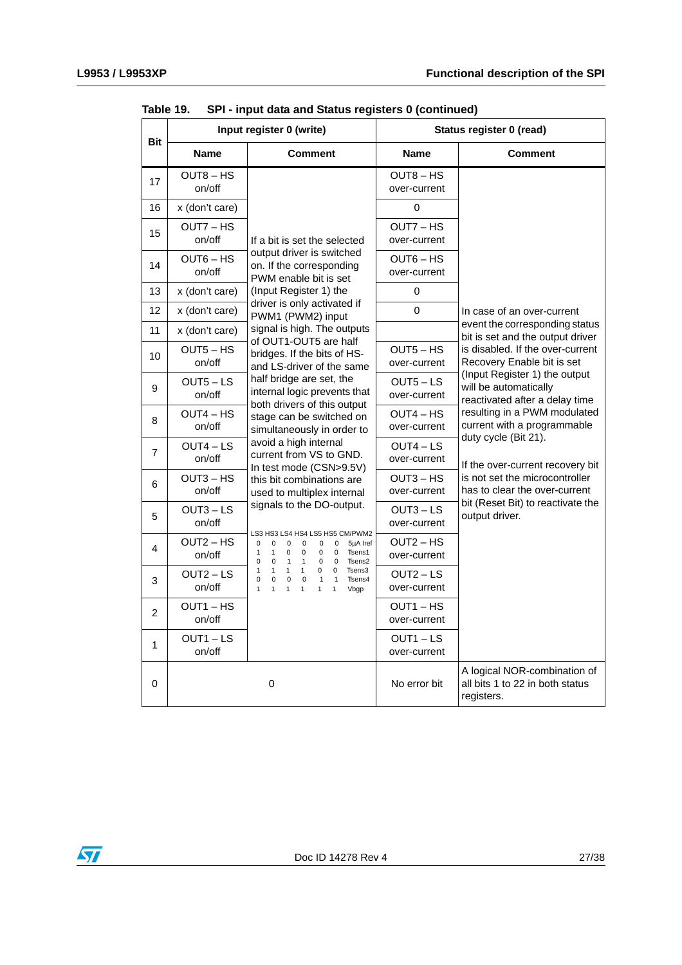$\sqrt{2}$ 

|                |                       | Input register 0 (write)                                                                                                                                                                                                                                                  | Status register 0 (read)    |                                                                                                                         |  |
|----------------|-----------------------|---------------------------------------------------------------------------------------------------------------------------------------------------------------------------------------------------------------------------------------------------------------------------|-----------------------------|-------------------------------------------------------------------------------------------------------------------------|--|
| <b>Bit</b>     | <b>Name</b>           | <b>Comment</b>                                                                                                                                                                                                                                                            | <b>Name</b>                 | <b>Comment</b>                                                                                                          |  |
| 17             | $OUT8 - HS$<br>on/off |                                                                                                                                                                                                                                                                           | $OUT8 - HS$<br>over-current |                                                                                                                         |  |
| 16             | x (don't care)        |                                                                                                                                                                                                                                                                           | $\Omega$                    |                                                                                                                         |  |
| 15             | OUT7 - HS<br>on/off   | If a bit is set the selected                                                                                                                                                                                                                                              | OUT7-HS<br>over-current     |                                                                                                                         |  |
| 14             | $OUT6 - HS$<br>on/off | output driver is switched<br>on. If the corresponding<br>PWM enable bit is set                                                                                                                                                                                            | $OUT6 - HS$<br>over-current |                                                                                                                         |  |
| 13             | x (don't care)        | (Input Register 1) the                                                                                                                                                                                                                                                    | 0                           |                                                                                                                         |  |
| 12             | x (don't care)        | driver is only activated if<br>PWM1 (PWM2) input                                                                                                                                                                                                                          | 0                           | In case of an over-current                                                                                              |  |
| 11             | x (don't care)        | signal is high. The outputs<br>of OUT1-OUT5 are half                                                                                                                                                                                                                      |                             | event the corresponding status<br>bit is set and the output driver                                                      |  |
| 10             | $OUT5 - HS$<br>on/off | bridges. If the bits of HS-<br>and LS-driver of the same                                                                                                                                                                                                                  | $OUT5 - HS$<br>over-current | is disabled. If the over-current<br>Recovery Enable bit is set                                                          |  |
| 9              | $OUT5 - LS$<br>on/off | half bridge are set, the<br>internal logic prevents that                                                                                                                                                                                                                  | $OUT5 - LS$<br>over-current | (Input Register 1) the output<br>will be automatically<br>reactivated after a delay time                                |  |
| 8              | $OUT4 - HS$<br>on/off | both drivers of this output<br>stage can be switched on<br>simultaneously in order to                                                                                                                                                                                     | $OUT4 - HS$<br>over-current | resulting in a PWM modulated<br>current with a programmable<br>duty cycle (Bit 21).<br>If the over-current recovery bit |  |
| $\overline{7}$ | $OUT4 - LS$<br>on/off | avoid a high internal<br>current from VS to GND.<br>In test mode (CSN>9.5V)                                                                                                                                                                                               | $OUT4 - LS$<br>over-current |                                                                                                                         |  |
| 6              | $OUT3 - HS$<br>on/off | this bit combinations are<br>used to multiplex internal                                                                                                                                                                                                                   | $OUT3 - HS$<br>over-current | is not set the microcontroller<br>has to clear the over-current                                                         |  |
| 5              | $OUT3 - LS$<br>on/off | signals to the DO-output.                                                                                                                                                                                                                                                 | $OUT3 - LS$<br>over-current | bit (Reset Bit) to reactivate the<br>output driver.                                                                     |  |
| 4              | $OUT2 - HS$<br>on/off | LS3 HS3 LS4 HS4 LS5 HS5 CM/PWM2<br>5µA Iref<br>0<br>0<br>0<br>0<br>0<br>0<br>Tsens1<br>$\mathbf{1}$<br>1<br>$\mathbf 0$<br>$\mathbf 0$<br>$\mathbf 0$<br>$\mathbf 0$<br>Tsens2<br>0<br>$\mathbf 0$<br>$\mathbf 0$<br>$\mathbf{1}$<br>$\mathbf{1}$<br>$\mathbf 0$          | $OUT2 - HS$<br>over-current |                                                                                                                         |  |
| 3              | $OUT2 - LS$<br>on/off | $\mathbf{1}$<br>$\mathbf{1}$<br>$\mathbf{1}$<br>$\mathbf{1}$<br>0<br>$\mathbf 0$<br>Tsens3<br>0<br>$\mathbf 0$<br>0<br>$\mathbf{1}$<br>Tsens4<br>$\mathbf 0$<br>$\mathbf{1}$<br>$\mathbf{1}$<br>$\mathbf{1}$<br>$\mathbf{1}$<br>$\mathbf{1}$<br>1<br>$\mathbf{1}$<br>Vbgp | $OUT2 - LS$<br>over-current |                                                                                                                         |  |
| $\overline{2}$ | $OUT1 - HS$<br>on/off |                                                                                                                                                                                                                                                                           | OUT1-HS<br>over-current     |                                                                                                                         |  |
| 1              | $OUT1 - LS$<br>on/off |                                                                                                                                                                                                                                                                           | $OUT1 - LS$<br>over-current |                                                                                                                         |  |
| 0              |                       | 0                                                                                                                                                                                                                                                                         | No error bit                | A logical NOR-combination of<br>all bits 1 to 22 in both status<br>registers.                                           |  |

**Table 19. SPI - input data and Status registers 0 (continued)**

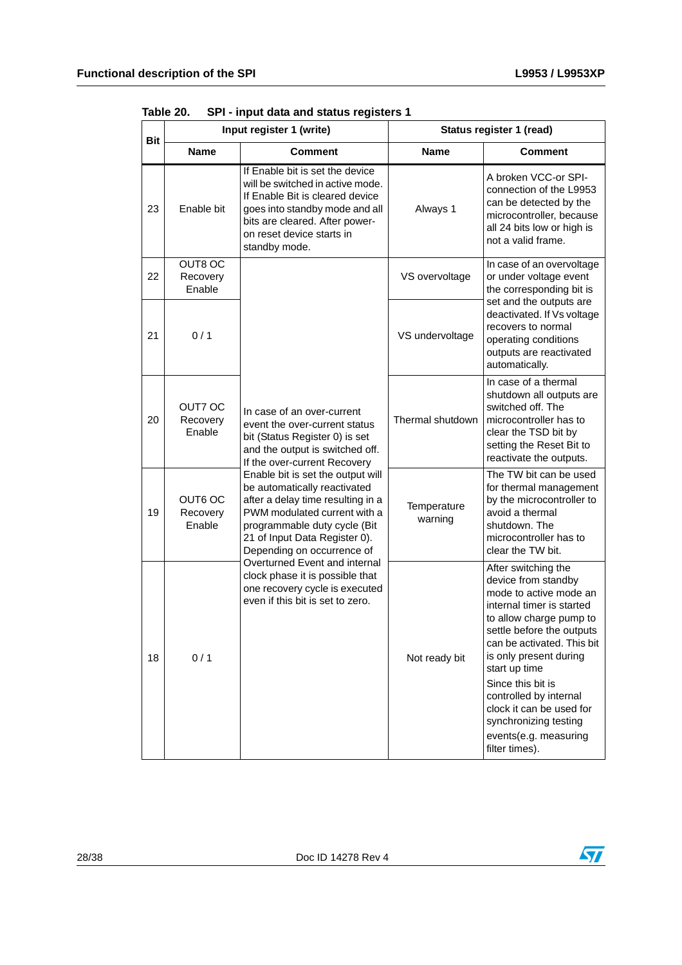| Bit |                               | Input register 1 (write)                                                                                                                                                                                                              | Status register 1 (read) |                                                                                                                                                                                                                                                                                                                                                                                   |  |  |
|-----|-------------------------------|---------------------------------------------------------------------------------------------------------------------------------------------------------------------------------------------------------------------------------------|--------------------------|-----------------------------------------------------------------------------------------------------------------------------------------------------------------------------------------------------------------------------------------------------------------------------------------------------------------------------------------------------------------------------------|--|--|
|     | <b>Name</b>                   | <b>Comment</b>                                                                                                                                                                                                                        | <b>Name</b>              | Comment                                                                                                                                                                                                                                                                                                                                                                           |  |  |
| 23  | Enable bit                    | If Enable bit is set the device<br>will be switched in active mode.<br>If Enable Bit is cleared device<br>goes into standby mode and all<br>bits are cleared. After power-<br>on reset device starts in<br>standby mode.              | Always 1                 | A broken VCC-or SPI-<br>connection of the L9953<br>can be detected by the<br>microcontroller, because<br>all 24 bits low or high is<br>not a valid frame.                                                                                                                                                                                                                         |  |  |
| 22  | OUT8 OC<br>Recovery<br>Enable |                                                                                                                                                                                                                                       | VS overvoltage           | In case of an overvoltage<br>or under voltage event<br>the corresponding bit is                                                                                                                                                                                                                                                                                                   |  |  |
| 21  | 0/1                           |                                                                                                                                                                                                                                       | VS undervoltage          | set and the outputs are<br>deactivated. If Vs voltage<br>recovers to normal<br>operating conditions<br>outputs are reactivated<br>automatically.                                                                                                                                                                                                                                  |  |  |
| 20  | OUT7 OC<br>Recovery<br>Enable | In case of an over-current<br>event the over-current status<br>bit (Status Register 0) is set<br>and the output is switched off.<br>If the over-current Recovery                                                                      | Thermal shutdown         | In case of a thermal<br>shutdown all outputs are<br>switched off. The<br>microcontroller has to<br>clear the TSD bit by<br>setting the Reset Bit to<br>reactivate the outputs.                                                                                                                                                                                                    |  |  |
| 19  | OUT6 OC<br>Recovery<br>Enable | Enable bit is set the output will<br>be automatically reactivated<br>after a delay time resulting in a<br>PWM modulated current with a<br>programmable duty cycle (Bit<br>21 of Input Data Register 0).<br>Depending on occurrence of | Temperature<br>warning   | The TW bit can be used<br>for thermal management<br>by the microcontroller to<br>avoid a thermal<br>shutdown. The<br>microcontroller has to<br>clear the TW bit.                                                                                                                                                                                                                  |  |  |
| 18  | 0/1                           | Overturned Event and internal<br>clock phase it is possible that<br>one recovery cycle is executed<br>even if this bit is set to zero.                                                                                                | Not ready bit            | After switching the<br>device from standby<br>mode to active mode an<br>internal timer is started<br>to allow charge pump to<br>settle before the outputs<br>can be activated. This bit<br>is only present during<br>start up time<br>Since this bit is<br>controlled by internal<br>clock it can be used for<br>synchronizing testing<br>events(e.g. measuring<br>filter times). |  |  |

<span id="page-27-0"></span>**Table 20. SPI - input data and status registers 1**

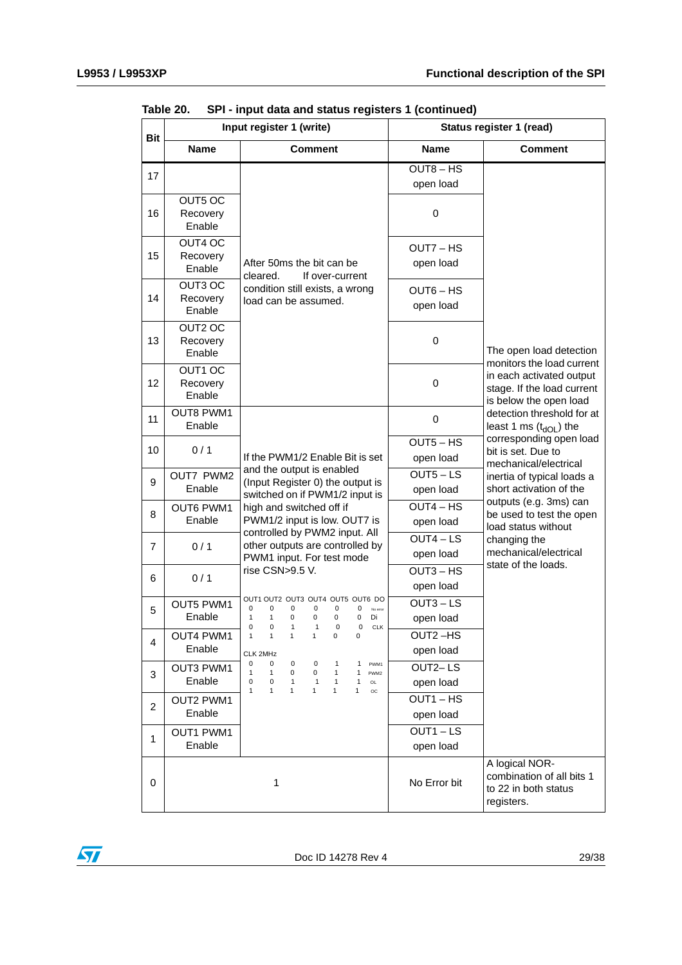| <b>Bit</b>     |                               | Input register 1 (write)                                                                                                                                                               | Status register 1 (read) |                                                                                   |  |
|----------------|-------------------------------|----------------------------------------------------------------------------------------------------------------------------------------------------------------------------------------|--------------------------|-----------------------------------------------------------------------------------|--|
|                | <b>Name</b>                   | <b>Comment</b>                                                                                                                                                                         | <b>Name</b>              | <b>Comment</b>                                                                    |  |
| 17             |                               |                                                                                                                                                                                        | $OUT8 - HS$              |                                                                                   |  |
|                |                               |                                                                                                                                                                                        | open load                |                                                                                   |  |
| 16             | OUT5 OC<br>Recovery<br>Enable |                                                                                                                                                                                        | $\pmb{0}$                |                                                                                   |  |
| 15             | OUT4 OC<br>Recovery<br>Enable | After 50ms the bit can be<br>cleared.<br>If over-current                                                                                                                               | OUT7 - HS<br>open load   |                                                                                   |  |
| 14             | OUT3 OC<br>Recovery<br>Enable | condition still exists, a wrong<br>load can be assumed.                                                                                                                                | $OUT6 - HS$<br>open load |                                                                                   |  |
| 13             | OUT2 OC<br>Recovery<br>Enable |                                                                                                                                                                                        | 0                        | The open load detection<br>monitors the load current                              |  |
| 12             | OUT1 OC<br>Recovery<br>Enable |                                                                                                                                                                                        | 0                        | in each activated output<br>stage. If the load current<br>is below the open load  |  |
| 11             | <b>OUT8 PWM1</b><br>Enable    |                                                                                                                                                                                        | 0                        | detection threshold for at<br>least 1 ms $(t_{dOL})$ the                          |  |
| 10             | 0/1                           | If the PWM1/2 Enable Bit is set                                                                                                                                                        | $OUT5 - HS$<br>open load | corresponding open load<br>bit is set. Due to<br>mechanical/electrical            |  |
| 9              | OUT7 PWM2<br>Enable           | and the output is enabled<br>(Input Register 0) the output is                                                                                                                          | $OUT5 - LS$<br>open load | inertia of typical loads a<br>short activation of the                             |  |
| 8              | <b>OUT6 PWM1</b><br>Enable    | switched on if PWM1/2 input is<br>high and switched off if<br>PWM1/2 input is low. OUT7 is                                                                                             | $OUT4 - HS$<br>open load | outputs (e.g. 3ms) can<br>be used to test the open                                |  |
|                |                               | controlled by PWM2 input. All                                                                                                                                                          | $OUT4 - LS$              | load status without<br>changing the                                               |  |
| 7              | 0/1                           | other outputs are controlled by<br>PWM1 input. For test mode                                                                                                                           | open load                | mechanical/electrical                                                             |  |
|                |                               | rise CSN>9.5 V.                                                                                                                                                                        | $OUT3 - HS$              | state of the loads.                                                               |  |
| 6              | 0/1                           |                                                                                                                                                                                        | open load                |                                                                                   |  |
| 5              | <b>OUT5 PWM1</b>              | OUT1 OUT2 OUT3 OUT4 OUT5 OUT6 DO<br>0<br>0<br>0<br>0<br>0<br>0<br>No error                                                                                                             | $OUT3 - LS$              |                                                                                   |  |
|                | Enable                        | 1<br>$\mathbf{1}$<br>0<br>$\pmb{0}$<br>0<br>0<br>Di<br>0<br>0<br>$1 \quad 1$<br>0<br>$\mathbf{0}$<br><b>CLK</b>                                                                        | open load                |                                                                                   |  |
| 4              | OUT4 PWM1                     | $\mathbf{1}$<br>0<br>0<br>$\mathbf{1}$<br>$\mathbf{1}$<br>1                                                                                                                            | OUT2-HS                  |                                                                                   |  |
|                | Enable                        | CLK 2MHz                                                                                                                                                                               | open load                |                                                                                   |  |
| 3              | OUT3 PWM1                     | 0<br>0<br>0<br>0<br>$\mathbf{1}$<br>1<br>PWM1<br>$\mathbf{1}$<br>0<br>$\mathbf{1}$<br>$\mathbf{1}$<br>0<br>1<br>PWM2                                                                   | OUT2-LS                  |                                                                                   |  |
|                | Enable                        | 0<br>$\mathbf 0$<br>$\mathbf{1}$<br>$\mathbf{1}$<br>$\mathbf{1}$<br>1<br><b>OL</b><br>1<br>$\mathbf{1}$<br>$\mathbf{1}$<br>$\mathbf{1}$<br>$\mathbf{1}$<br>$\mathbf{1}$<br>$_{\rm OC}$ | open load                |                                                                                   |  |
| $\overline{c}$ | <b>OUT2 PWM1</b>              |                                                                                                                                                                                        | OUT1-HS                  |                                                                                   |  |
|                | Enable                        |                                                                                                                                                                                        | open load                |                                                                                   |  |
| $\mathbf{1}$   | OUT1 PWM1                     |                                                                                                                                                                                        | $OUT1 - LS$              |                                                                                   |  |
|                | Enable                        |                                                                                                                                                                                        | open load                |                                                                                   |  |
| 0              |                               | 1                                                                                                                                                                                      | No Error bit             | A logical NOR-<br>combination of all bits 1<br>to 22 in both status<br>registers. |  |

**Table 20. SPI - input data and status registers 1 (continued)**

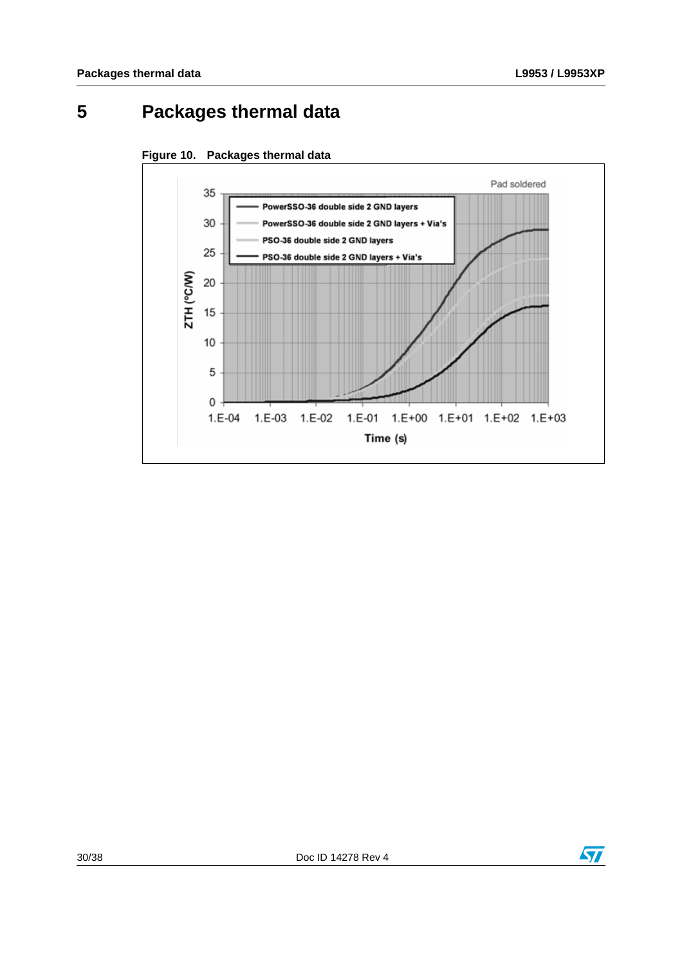# <span id="page-29-0"></span>**5 Packages thermal data**



<span id="page-29-1"></span>



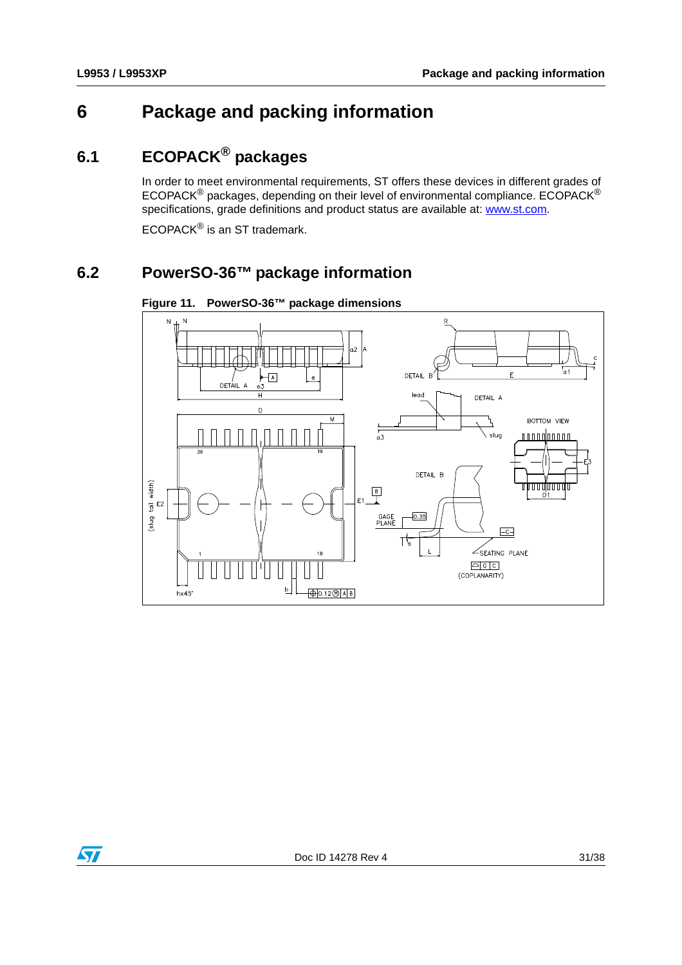# <span id="page-30-0"></span>**6 Package and packing information**

# <span id="page-30-1"></span>**6.1 ECOPACK® packages**

In order to meet environmental requirements, ST offers these devices in different grades of ECOPACK® packages, depending on their level of environmental compliance. ECOPACK® specifications, grade definitions and product status are available at: www.st.com.

ECOPACK® is an ST trademark.

### <span id="page-30-2"></span>**6.2 PowerSO-36™ package information**



<span id="page-30-3"></span>**Figure 11. PowerSO-36™ package dimensions**

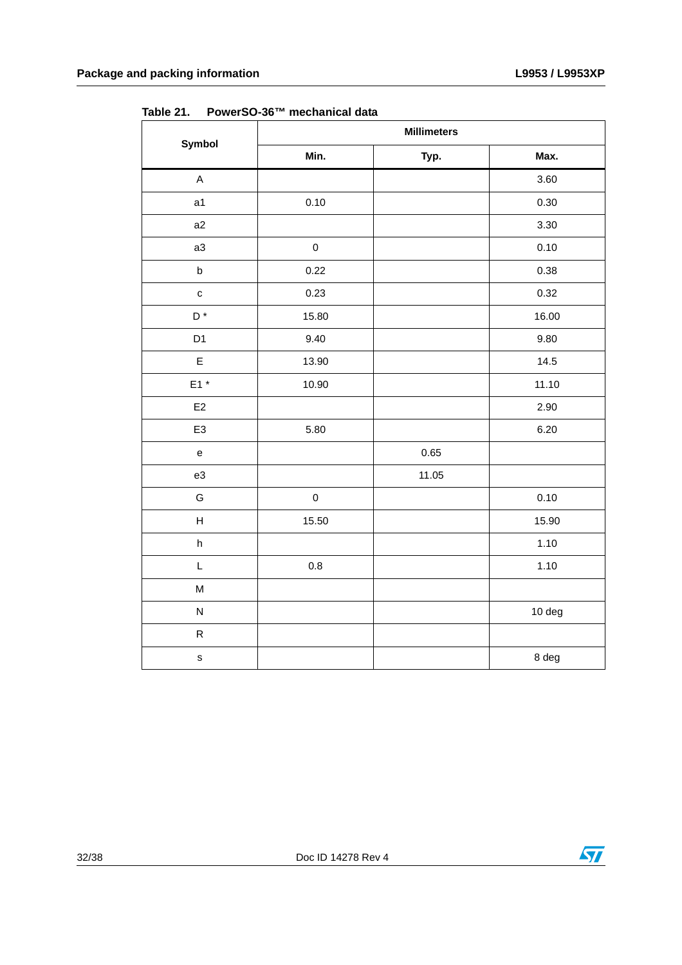|                                   | <b>Millimeters</b> |          |        |  |  |  |  |
|-----------------------------------|--------------------|----------|--------|--|--|--|--|
| Symbol                            | Min.               | Typ.     | Max.   |  |  |  |  |
| $\mathsf A$                       |                    |          | 3.60   |  |  |  |  |
| a <sub>1</sub>                    | 0.10               |          | 0.30   |  |  |  |  |
| a2                                |                    |          | 3.30   |  |  |  |  |
| a3                                | $\pmb{0}$          |          | 0.10   |  |  |  |  |
| $\sf b$                           | 0.22               |          | 0.38   |  |  |  |  |
| $\mathbf c$                       | 0.23               |          | 0.32   |  |  |  |  |
| D <sup>*</sup>                    | 15.80              |          | 16.00  |  |  |  |  |
| D <sub>1</sub>                    | 9.40               |          | 9.80   |  |  |  |  |
| $\mathsf E$                       | 13.90              |          | 14.5   |  |  |  |  |
| $E1*$                             | 10.90              |          | 11.10  |  |  |  |  |
| $\mathsf{E}2$                     |                    |          | 2.90   |  |  |  |  |
| E <sub>3</sub>                    | 5.80               |          | 6.20   |  |  |  |  |
| $\mathsf{e}% _{t}\left( t\right)$ |                    | $0.65\,$ |        |  |  |  |  |
| e3                                |                    | 11.05    |        |  |  |  |  |
| G                                 | $\mathsf 0$        |          | 0.10   |  |  |  |  |
| H                                 | 15.50              |          | 15.90  |  |  |  |  |
| h                                 |                    |          | 1.10   |  |  |  |  |
| L                                 | $0.8\,$            |          | 1.10   |  |  |  |  |
| M                                 |                    |          |        |  |  |  |  |
| ${\sf N}$                         |                    |          | 10 deg |  |  |  |  |
| ${\sf R}$                         |                    |          |        |  |  |  |  |
| $\mathbf s$                       |                    |          | 8 deg  |  |  |  |  |

<span id="page-31-0"></span>**Table 21. PowerSO-36™ mechanical data**

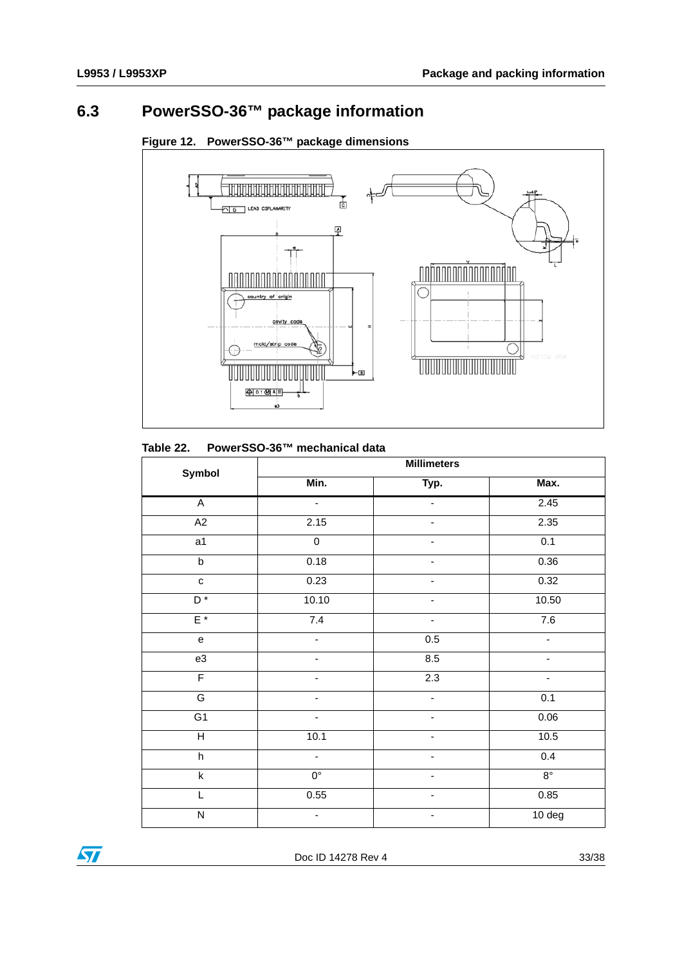## <span id="page-32-0"></span>**6.3 PowerSSO-36™ package information**



#### <span id="page-32-2"></span>**Figure 12. PowerSSO-36™ package dimensions**

#### <span id="page-32-1"></span>**Table 22. PowerSSO-36™ mechanical data**

| Symbol                            | <b>Millimeters</b>       |                          |             |  |  |  |  |
|-----------------------------------|--------------------------|--------------------------|-------------|--|--|--|--|
|                                   | Min.                     | Typ.                     | Max.        |  |  |  |  |
| $\overline{A}$                    | $\blacksquare$           |                          | 2.45        |  |  |  |  |
| A2                                | 2.15                     |                          | 2.35        |  |  |  |  |
| $\overline{a}$ 1                  | $\overline{0}$           |                          | 0.1         |  |  |  |  |
| $\overline{b}$                    | 0.18                     |                          | 0.36        |  |  |  |  |
| $\mathtt{C}$                      | 0.23                     |                          | 0.32        |  |  |  |  |
| $D^*$                             | 10.10                    |                          | 10.50       |  |  |  |  |
| $E^*$                             | 7.4                      |                          | 7.6         |  |  |  |  |
| $\mathsf{e}% _{t}\left( t\right)$ | ÷,                       | 0.5                      |             |  |  |  |  |
| e3                                | $\overline{\phantom{0}}$ | 8.5                      |             |  |  |  |  |
| $\overline{F}$                    |                          | 2.3                      |             |  |  |  |  |
| G                                 |                          | -                        | 0.1         |  |  |  |  |
| $\overline{G1}$                   | -                        | -                        | 0.06        |  |  |  |  |
| $\overline{H}$                    | 10.1                     | $\overline{\phantom{0}}$ | 10.5        |  |  |  |  |
| $\boldsymbol{\mathsf{h}}$         | -                        | $\overline{\phantom{0}}$ | 0.4         |  |  |  |  |
| $\sf k$                           | $0^{\circ}$              | -                        | $8^{\circ}$ |  |  |  |  |
| L                                 | 0.55                     | $\overline{\phantom{0}}$ | 0.85        |  |  |  |  |
| ${\sf N}$                         | $\overline{\phantom{0}}$ | $\overline{\phantom{0}}$ | 10 deg      |  |  |  |  |

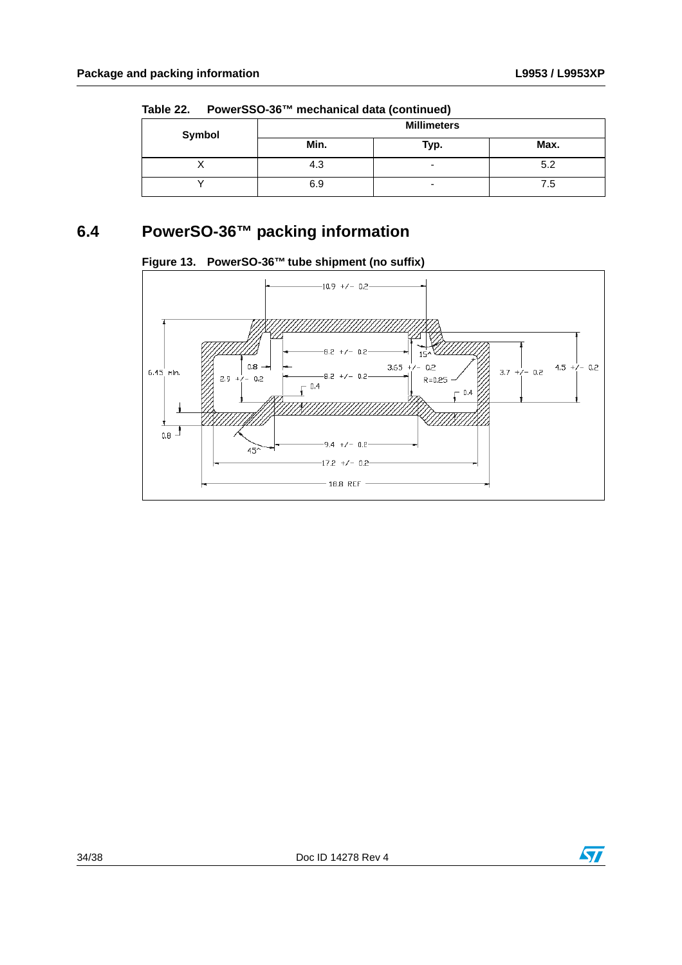| Symbol | <b>Millimeters</b> |                          |      |  |  |  |
|--------|--------------------|--------------------------|------|--|--|--|
|        | Min.               | Typ.                     | Max. |  |  |  |
|        | 4.3                | $\overline{\phantom{0}}$ | 5.2  |  |  |  |
|        | 6.9                | $\overline{\phantom{0}}$ | 7.5  |  |  |  |

**Table 22. PowerSSO-36™ mechanical data (continued)**

## <span id="page-33-0"></span>**6.4 PowerSO-36™ packing information**

<span id="page-33-1"></span>



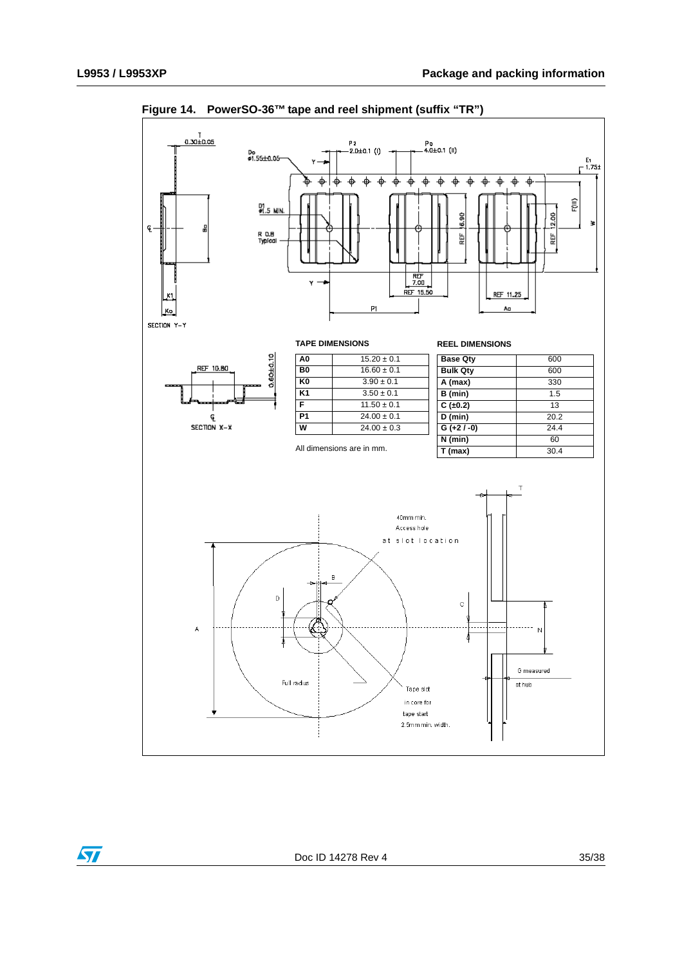

<span id="page-34-0"></span>**Figure 14. PowerSO-36™ tape and reel shipment (suffix "TR")**

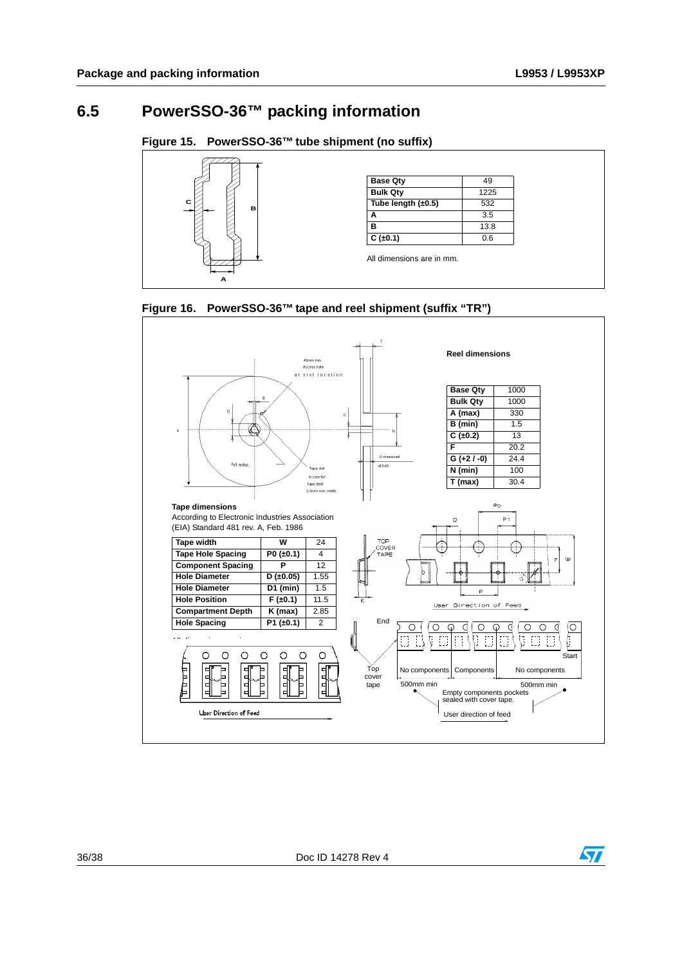### <span id="page-35-0"></span>**6.5 PowerSSO-36™ packing information**

#### <span id="page-35-1"></span>**Figure 15. PowerSSO-36™ tube shipment (no suffix)**



<span id="page-35-2"></span>



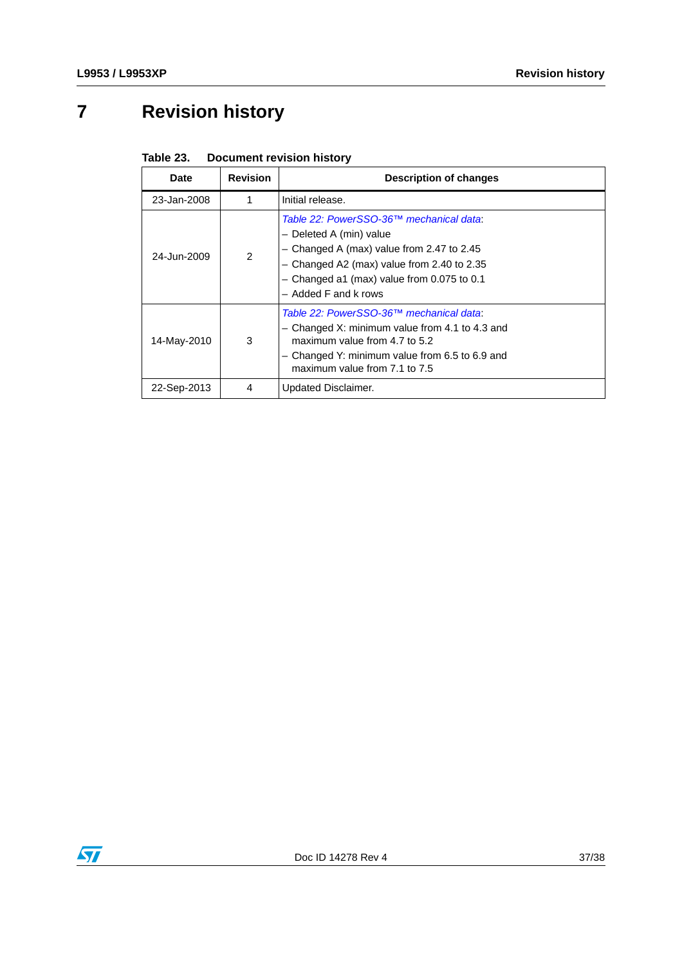# <span id="page-36-0"></span>**7 Revision history**

<span id="page-36-1"></span>

| Table 23. | <b>Document revision history</b> |  |  |
|-----------|----------------------------------|--|--|
|-----------|----------------------------------|--|--|

| Date        | <b>Revision</b> | <b>Description of changes</b>                                                                                                                                                                                                             |
|-------------|-----------------|-------------------------------------------------------------------------------------------------------------------------------------------------------------------------------------------------------------------------------------------|
| 23-Jan-2008 | 1               | Initial release.                                                                                                                                                                                                                          |
| 24-Jun-2009 | $\mathcal{P}$   | Table 22: PowerSSO-36™ mechanical data:<br>- Deleted A (min) value<br>$-$ Changed A (max) value from 2.47 to 2.45<br>$-$ Changed A2 (max) value from 2.40 to 2.35<br>$-$ Changed a1 (max) value from 0.075 to 0.1<br>- Added F and k rows |
| 14-May-2010 | 3               | Table 22: PowerSSO-36™ mechanical data:<br>- Changed X: minimum value from 4.1 to 4.3 and<br>maximum value from $4.7$ to $5.2$<br>$-$ Changed Y: minimum value from 6.5 to 6.9 and<br>maximum value from 7.1 to 7.5                       |
| 22-Sep-2013 | 4               | Updated Disclaimer.                                                                                                                                                                                                                       |